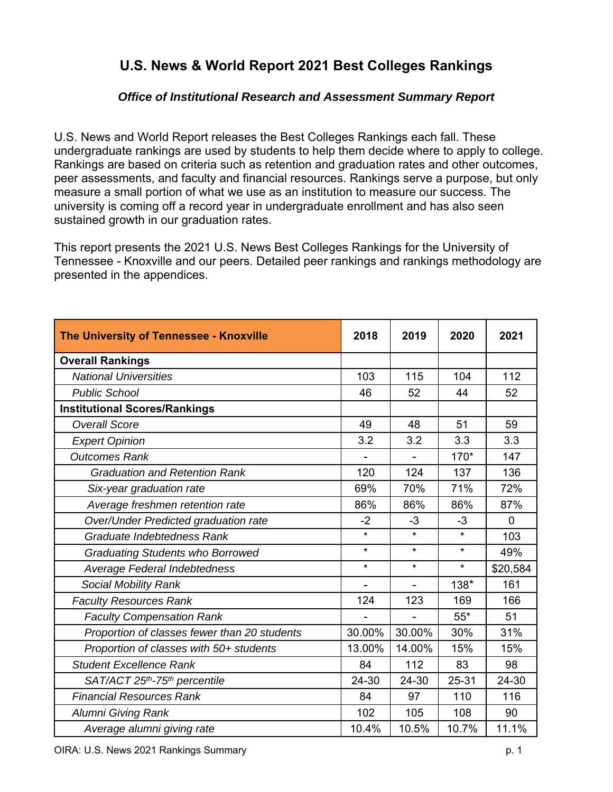### **U.S. News & World Report 2021 Best Colleges Rankings**

### *Office of Institutional Research and Assessment Summary Report*

U.S. News and World Report releases the Best Colleges Rankings each fall. These undergraduate rankings are used by students to help them decide where to apply to college. Rankings are based on criteria such as retention and graduation rates and other outcomes, peer assessments, and faculty and financial resources. Rankings serve a purpose, but only measure a small portion of what we use as an institution to measure our success. The university is coming off a record year in undergraduate enrollment and has also seen sustained growth in our graduation rates.

This report presents the 2021 U.S. News Best Colleges Rankings for the University of Tennessee - Knoxville and our peers. Detailed peer rankings and rankings methodology are presented in the appendices.

| The University of Tennessee - Knoxville               | 2018    | 2019    | 2020    | 2021        |
|-------------------------------------------------------|---------|---------|---------|-------------|
| <b>Overall Rankings</b>                               |         |         |         |             |
| <b>National Universities</b>                          | 103     | 115     | 104     | 112         |
| <b>Public School</b>                                  | 46      | 52      | 44      | 52          |
| <b>Institutional Scores/Rankings</b>                  |         |         |         |             |
| <b>Overall Score</b>                                  | 49      | 48      | 51      | 59          |
| <b>Expert Opinion</b>                                 | 3.2     | 3.2     | 3.3     | 3.3         |
| <b>Outcomes Rank</b>                                  |         |         | 170*    | 147         |
| <b>Graduation and Retention Rank</b>                  | 120     | 124     | 137     | 136         |
| Six-year graduation rate                              | 69%     | 70%     | 71%     | 72%         |
| Average freshmen retention rate                       | 86%     | 86%     | 86%     | 87%         |
| Over/Under Predicted graduation rate                  | $-2$    | $-3$    | $-3$    | $\mathbf 0$ |
| Graduate Indebtedness Rank                            | $\star$ | $\star$ | $\star$ | 103         |
| <b>Graduating Students who Borrowed</b>               | $\star$ | $\star$ | $\star$ | 49%         |
| Average Federal Indebtedness                          | $\star$ | $\star$ | $\star$ | \$20,584    |
| <b>Social Mobility Rank</b>                           |         |         | 138*    | 161         |
| <b>Faculty Resources Rank</b>                         | 124     | 123     | 169     | 166         |
| <b>Faculty Compensation Rank</b>                      |         |         | $55*$   | 51          |
| Proportion of classes fewer than 20 students          | 30.00%  | 30.00%  | 30%     | 31%         |
| Proportion of classes with 50+ students               | 13.00%  | 14.00%  | 15%     | 15%         |
| <b>Student Excellence Rank</b>                        | 84      | 112     | 83      | 98          |
| SAT/ACT 25 <sup>th</sup> -75 <sup>th</sup> percentile | 24-30   | 24-30   | 25-31   | 24-30       |
| <b>Financial Resources Rank</b>                       | 84      | 97      | 110     | 116         |
| <b>Alumni Giving Rank</b>                             | 102     | 105     | 108     | 90          |
| Average alumni giving rate                            | 10.4%   | 10.5%   | 10.7%   | 11.1%       |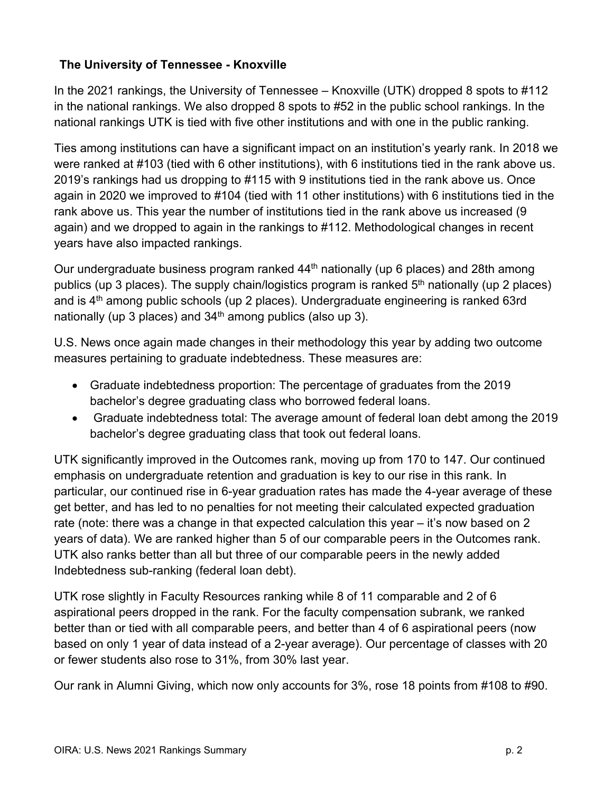### **The University of Tennessee - Knoxville**

In the 2021 rankings, the University of Tennessee – Knoxville (UTK) dropped 8 spots to #112 in the national rankings. We also dropped 8 spots to #52 in the public school rankings. In the national rankings UTK is tied with five other institutions and with one in the public ranking.

Ties among institutions can have a significant impact on an institution's yearly rank. In 2018 we were ranked at #103 (tied with 6 other institutions), with 6 institutions tied in the rank above us. 2019's rankings had us dropping to #115 with 9 institutions tied in the rank above us. Once again in 2020 we improved to #104 (tied with 11 other institutions) with 6 institutions tied in the rank above us. This year the number of institutions tied in the rank above us increased (9 again) and we dropped to again in the rankings to #112. Methodological changes in recent years have also impacted rankings.

Our undergraduate business program ranked 44<sup>th</sup> nationally (up 6 places) and 28th among publics (up 3 places). The supply chain/logistics program is ranked 5<sup>th</sup> nationally (up 2 places) and is  $4<sup>th</sup>$  among public schools (up 2 places). Undergraduate engineering is ranked 63rd nationally (up 3 places) and  $34<sup>th</sup>$  among publics (also up 3).

U.S. News once again made changes in their methodology this year by adding two outcome measures pertaining to graduate indebtedness. These measures are:

- Graduate indebtedness proportion: The percentage of graduates from the 2019 bachelor's degree graduating class who borrowed federal loans.
- Graduate indebtedness total: The average amount of federal loan debt among the 2019 bachelor's degree graduating class that took out federal loans.

UTK significantly improved in the Outcomes rank, moving up from 170 to 147. Our continued emphasis on undergraduate retention and graduation is key to our rise in this rank. In particular, our continued rise in 6-year graduation rates has made the 4-year average of these get better, and has led to no penalties for not meeting their calculated expected graduation rate (note: there was a change in that expected calculation this year – it's now based on 2 years of data). We are ranked higher than 5 of our comparable peers in the Outcomes rank. UTK also ranks better than all but three of our comparable peers in the newly added Indebtedness sub-ranking (federal loan debt).

UTK rose slightly in Faculty Resources ranking while 8 of 11 comparable and 2 of 6 aspirational peers dropped in the rank. For the faculty compensation subrank, we ranked better than or tied with all comparable peers, and better than 4 of 6 aspirational peers (now based on only 1 year of data instead of a 2-year average). Our percentage of classes with 20 or fewer students also rose to 31%, from 30% last year.

Our rank in Alumni Giving, which now only accounts for 3%, rose 18 points from #108 to #90.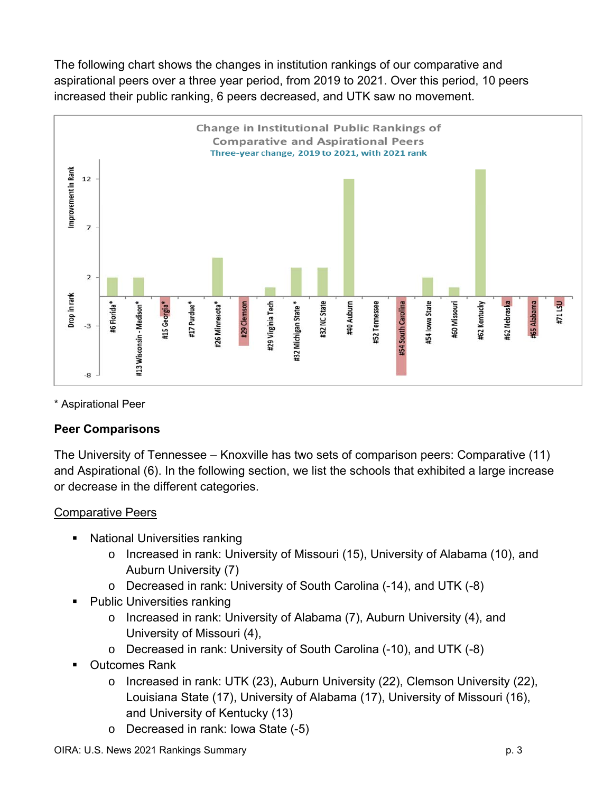The following chart shows the changes in institution rankings of our comparative and aspirational peers over a three year period, from 2019 to 2021. Over this period, 10 peers increased their public ranking, 6 peers decreased, and UTK saw no movement.



\* Aspirational Peer

### **Peer Comparisons**

The University of Tennessee – Knoxville has two sets of comparison peers: Comparative (11) and Aspirational (6). In the following section, we list the schools that exhibited a large increase or decrease in the different categories.

### Comparative Peers

- National Universities ranking
	- o Increased in rank: University of Missouri (15), University of Alabama (10), and Auburn University (7)
	- o Decreased in rank: University of South Carolina (-14), and UTK (-8)
- Public Universities ranking
	- o Increased in rank: University of Alabama (7), Auburn University (4), and University of Missouri (4),
	- o Decreased in rank: University of South Carolina (-10), and UTK (-8)
- Outcomes Rank
	- o Increased in rank: UTK (23), Auburn University (22), Clemson University (22), Louisiana State (17), University of Alabama (17), University of Missouri (16), and University of Kentucky (13)
	- o Decreased in rank: Iowa State (-5)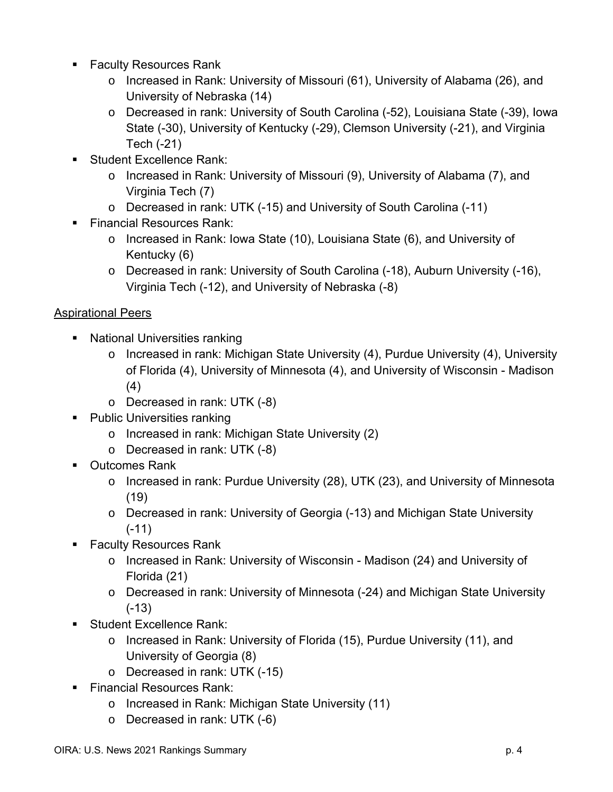- Faculty Resources Rank
	- o Increased in Rank: University of Missouri (61), University of Alabama (26), and University of Nebraska (14)
	- o Decreased in rank: University of South Carolina (-52), Louisiana State (-39), Iowa State (-30), University of Kentucky (-29), Clemson University (-21), and Virginia Tech (-21)
- Student Excellence Rank:
	- o Increased in Rank: University of Missouri (9), University of Alabama (7), and Virginia Tech (7)
	- o Decreased in rank: UTK (-15) and University of South Carolina (-11)
- Financial Resources Rank:
	- o Increased in Rank: Iowa State (10), Louisiana State (6), and University of Kentucky (6)
	- o Decreased in rank: University of South Carolina (-18), Auburn University (-16), Virginia Tech (-12), and University of Nebraska (-8)

### Aspirational Peers

- **National Universities ranking** 
	- o Increased in rank: Michigan State University (4), Purdue University (4), University of Florida (4), University of Minnesota (4), and University of Wisconsin - Madison (4)
	- o Decreased in rank: UTK (-8)
- Public Universities ranking
	- o Increased in rank: Michigan State University (2)
	- o Decreased in rank: UTK (-8)
- Outcomes Rank
	- o Increased in rank: Purdue University (28), UTK (23), and University of Minnesota (19)
	- o Decreased in rank: University of Georgia (-13) and Michigan State University (-11)
- Faculty Resources Rank
	- o Increased in Rank: University of Wisconsin Madison (24) and University of Florida (21)
	- o Decreased in rank: University of Minnesota (-24) and Michigan State University (-13)
- Student Excellence Rank:
	- o Increased in Rank: University of Florida (15), Purdue University (11), and University of Georgia (8)
	- o Decreased in rank: UTK (-15)
- **Financial Resources Rank:** 
	- o Increased in Rank: Michigan State University (11)
	- o Decreased in rank: UTK (-6)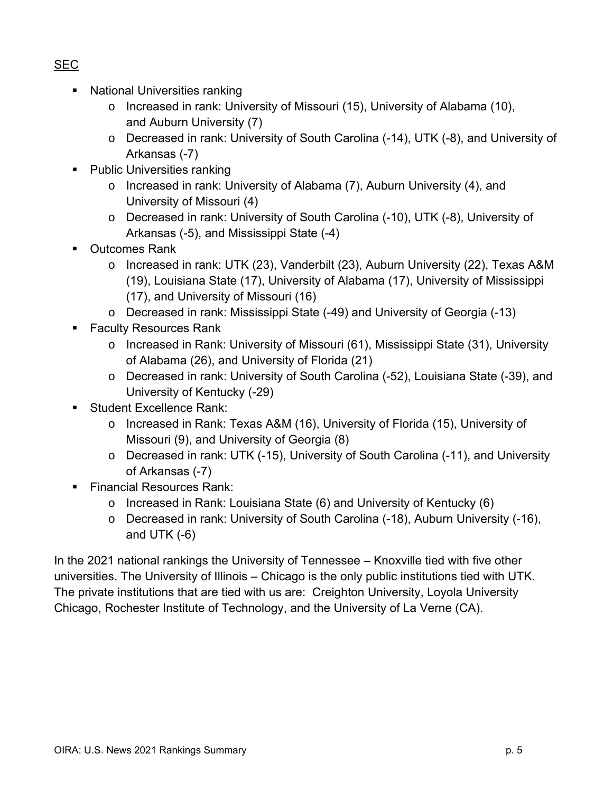- **National Universities ranking** 
	- o Increased in rank: University of Missouri (15), University of Alabama (10), and Auburn University (7)
	- o Decreased in rank: University of South Carolina (-14), UTK (-8), and University of Arkansas (-7)
- Public Universities ranking
	- o Increased in rank: University of Alabama (7), Auburn University (4), and University of Missouri (4)
	- o Decreased in rank: University of South Carolina (-10), UTK (-8), University of Arkansas (-5), and Mississippi State (-4)
- Outcomes Rank
	- o Increased in rank: UTK (23), Vanderbilt (23), Auburn University (22), Texas A&M (19), Louisiana State (17), University of Alabama (17), University of Mississippi (17), and University of Missouri (16)
	- o Decreased in rank: Mississippi State (-49) and University of Georgia (-13)
- Faculty Resources Rank
	- o Increased in Rank: University of Missouri (61), Mississippi State (31), University of Alabama (26), and University of Florida (21)
	- o Decreased in rank: University of South Carolina (-52), Louisiana State (-39), and University of Kentucky (-29)
- Student Excellence Rank:
	- o Increased in Rank: Texas A&M (16), University of Florida (15), University of Missouri (9), and University of Georgia (8)
	- o Decreased in rank: UTK (-15), University of South Carolina (-11), and University of Arkansas (-7)
- **Financial Resources Rank:** 
	- $\circ$  Increased in Rank: Louisiana State (6) and University of Kentucky (6)
	- o Decreased in rank: University of South Carolina (-18), Auburn University (-16), and UTK (-6)

In the 2021 national rankings the University of Tennessee – Knoxville tied with five other universities. The University of Illinois – Chicago is the only public institutions tied with UTK. The private institutions that are tied with us are: Creighton University, Loyola University Chicago, Rochester Institute of Technology, and the University of La Verne (CA).

### SEC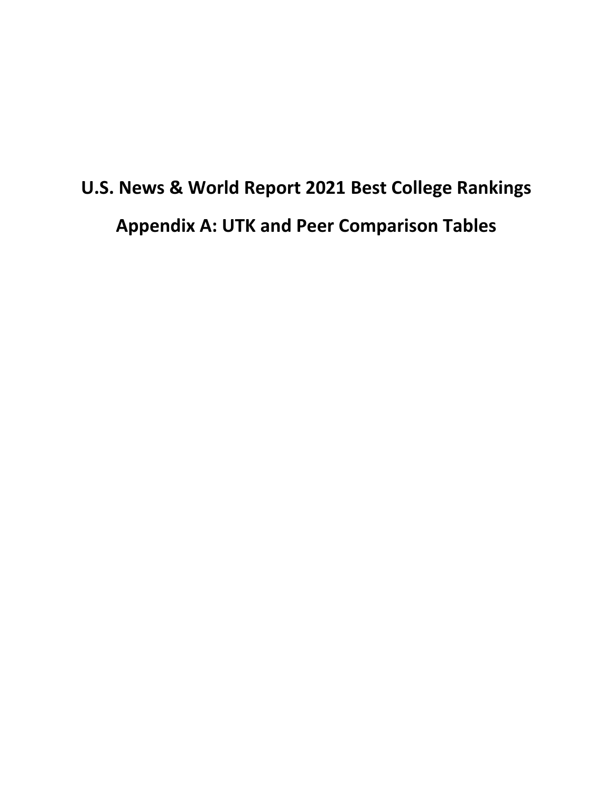### **U.S. News & World Report 2021 Best College Rankings Appendix A: UTK and Peer Comparison Tables**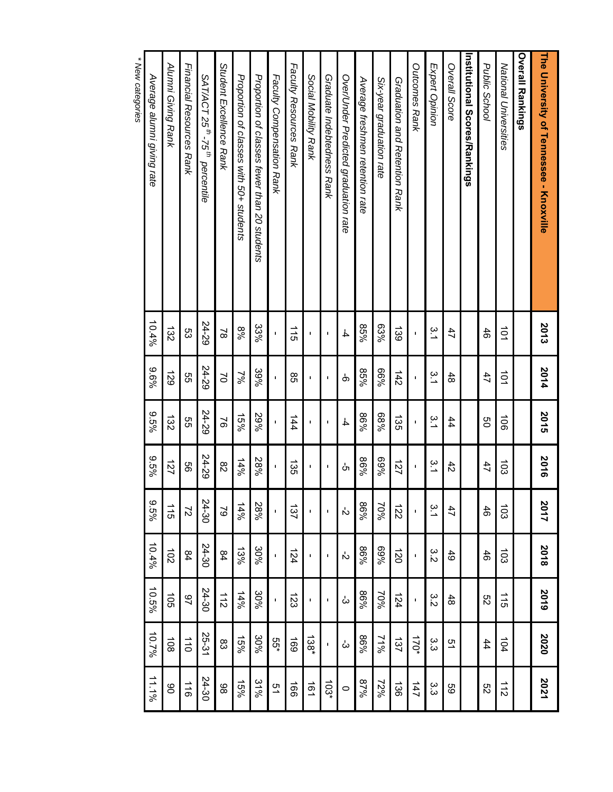| The University of Tennessee - Knoxville                  | 2013                  | 2014           | 2015                  | 2016             | 2017             | 2018             | 2019           | 2020                 | 2021           |
|----------------------------------------------------------|-----------------------|----------------|-----------------------|------------------|------------------|------------------|----------------|----------------------|----------------|
| <b>Overall Rankings</b>                                  |                       |                |                       |                  |                  |                  |                |                      |                |
| National Universities                                    | $\overrightarrow{01}$ | $\overline{0}$ | $\overrightarrow{00}$ | $\overline{103}$ | $\overline{103}$ | $\overline{5}$   | $\frac{1}{5}$  | 104                  | $\frac{1}{2}$  |
| Public School                                            | 46                    | 47             | g                     | 47               | $\frac{4}{5}$    | $\frac{4}{5}$    | ξg             | 44                   | S2             |
| Institutional Scores/Rankings                            |                       |                |                       |                  |                  |                  |                |                      |                |
| Overall Score                                            | 47                    | 48             | 44                    | $\ddot{4}$       | 47               | $\ddot{49}$      | 48             | 51                   | 89             |
| Expert Opinion                                           | ς<br>1                | α.<br>Τ        | ς<br>1                | ς.               | 3.1              | 3.<br>Σ          | 3.<br>Σ        | ده<br>م              | 33<br>م        |
| <b>Outcomes Rank</b>                                     | I.                    |                | ı                     | ı,               |                  | ı                |                | $170*$               | 147            |
| Graduation and Retention Rank                            | 139                   | 142            | 135                   | 127              | $\overline{22}$  | 120              | 124            | 137                  | 136            |
| Six-year graduation rate                                 | $63\%$                | %99            | %89                   | %69              | 70%              | %69              | 70%            | 2496                 | 72%            |
| Average freshmen retention rate                          | $85\%$                | 85%            | %98                   | 9698             | %98              | 9698             | %98            | %98                  | 87%            |
| Over/Under Predicted graduation rate                     | $\frac{1}{4}$         | တ              | $\overline{4}$        | Ġ                | ή                | ή                | ယ်             | ඨ                    | $\circ$        |
| Graduate Indebtedness Rank                               | Ţ                     | ı              | J.                    | t                | Ţ                | Ţ                | Ţ              | Ţ                    | $103*$         |
| Social Mobility Rank                                     | Ţ                     | ٠              | $\blacksquare$        | ٠                | ı                | ı                | ı              | 138*                 | 191            |
| <b>Faculty Resources Rank</b>                            | $\frac{1}{5}$         | 8s             | 144                   | 135              | 137              | 124              | 123            | 169                  | $\overline{5}$ |
| Faculty Compensation Rank                                | ı                     |                | ı                     | ı                | ı                | ı                |                | 55*                  | 51             |
| Proportion of classes fewer than 20 students             | 33%                   | 39%            | 29%                   | 28%              | 28%              | 30%              | 30%            | 30%                  | 31%            |
| Proportion of classes with 50+ students                  | %8                    | $\frac{2}{6}$  | 15%                   | 14%              | $14\%$           | 13%              | 14%            | 15%                  | 15%            |
| Student Excellence Rank                                  | $\approx$             | $\geq$         | $\approx$             | 82               | $\overline{6}$   | 84               | $\frac{1}{2}$  | 83                   | 86             |
| SAT/ACT 25 <sup>th</sup> -75 <sup>th</sup><br>percentile | 24-29                 | 24-29          | 24-29                 | 24-29            | 24-30            | 24-30            | 24-30          | 25-31                | 24-30          |
| <b>Financial Resources Rank</b>                          | 53                    | 9g             | 9g                    | 99               | $\overline{c}$   | 84               | $\overline{6}$ | $\overrightarrow{0}$ | $\frac{1}{10}$ |
| Alumni Giving Rank                                       | 132                   | 621            | 132                   | 121              | 115              | $\overline{102}$ | $\overline{5}$ | $\overline{6}$       | 80             |
| Average alumni giving rate                               | 10.4%                 | 9696           | 9,5%                  | 9.5%             | $9.5\%$          | 10.4%            | 10.5%          | 10.7%                | 11.1%          |

 *\* New categories*\* New categories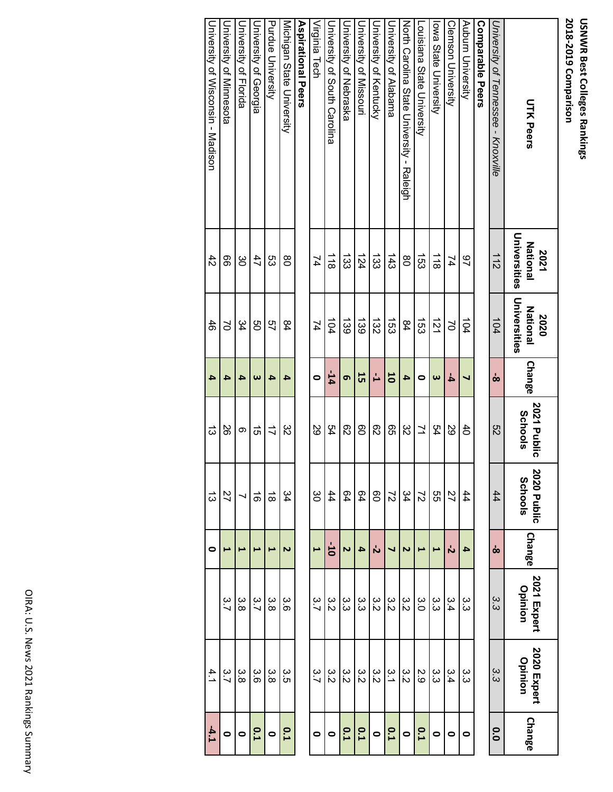| <b>UTK Peers</b>                          | Universities<br><b>National</b><br>2021 | Universities<br><b>National</b><br>2020 | <b>Change</b>         | 2021 Public<br>Schools | 2020 Public<br><b>Schools</b> | <b>Change</b>  | 2021 Expert<br>Opinion | 2020 Expert<br>Opinion | Change    |
|-------------------------------------------|-----------------------------------------|-----------------------------------------|-----------------------|------------------------|-------------------------------|----------------|------------------------|------------------------|-----------|
| University of Tennessee - Knoxville       | 112                                     | 104                                     | စစ                    | S2                     | 44                            | ထ              | ς<br>ω                 | ς<br>S                 | 0.0       |
| <b>Comparable Peers</b>                   |                                         |                                         |                       |                        |                               |                |                        |                        |           |
| Auburn University                         | 97                                      | 104                                     | ┙                     | $^{40}$                | 44                            | 4              | ယ<br>ယ                 | ယ<br>ယ                 | 0         |
| <b>Clemson University</b>                 | 74                                      | $\approx$                               | 4                     | 89                     | 27                            | Ń              | 3.4                    | 3.4                    | $\bullet$ |
| lowa State University                     | $\frac{1}{8}$                           | $\vec{z}$                               | $\boldsymbol{\omega}$ | 54                     | SS                            | ⊢              | ပ<br>ပ                 | ယ<br>ယ                 | $\bullet$ |
| Louisiana State University                | $\overline{53}$                         | 453                                     | O                     | $\geq$                 | $\overline{z}$                | ⊢              | Ω.<br>Ο                | 2.9                    | 0.1       |
| North Carolina State Chiversity - Raleigh | 80                                      | 84                                      | 4                     | 82                     | 34                            | 2              | ε<br>Σ                 | ε<br>Σ                 | $\bullet$ |
| University of Alabama                     | $\frac{143}{2}$                         | $\overline{53}$                         | 50                    | 95                     | $\overline{z}$                | ┙              | ς<br>Μ                 | $\frac{2}{1}$          | 0.1       |
| University of Kentrucky                   | $\frac{133}$                            | $\overrightarrow{25}$                   | Ľ,                    | 82                     | $\overline{0}$                | ή              | ε<br>δ                 | ε<br>Μ                 | $\bullet$ |
| University of Missouri                    | 124                                     | 139                                     | 55                    | 80                     | 64                            | 4              | ယ<br>ယ                 | 3.2                    | 0.1       |
| <b>University of Nepraska</b>             | 433                                     | 139                                     | ෨                     | 82                     | 64                            | $\overline{v}$ | ယ<br>ယ                 | ς<br>Σ                 | 0.1       |
| Duiversity of South Carolina              | $\frac{1}{8}$                           | 104                                     | $-14$                 | 54                     | 44                            | $-10$          | ς<br>Μ                 | ပ<br>လ                 | $\bullet$ |
| Virginia Tech                             | 74                                      | 74                                      | 0                     | 29                     | ပ္တ                           | $\overline{a}$ | 3.7                    | 3.7                    | $\bullet$ |
| <b>Aspirational Peers</b>                 |                                         |                                         |                       |                        |                               |                |                        |                        |           |
| Michigan State University                 | 80                                      | 84                                      | 4                     | ξS                     | 34                            | 2              | 3.6                    | ς<br>Ω                 | 0.1       |
| Purdue University                         | ςg                                      | 57                                      | 4                     | $\vec{u}$              | $\vec{\infty}$                | ⊢              | ပ္ပဲ                   | ပ္ပဲ                   | $\bullet$ |
| University of Georgia                     | 47                                      | 9g                                      | $\boldsymbol{\omega}$ | 5Ì                     | $\vec{0}$                     | ⊢              | 3.7                    | ပ္ပ်                   | 0.1       |
| <b>University of Horida</b>               | မွ                                      | 34                                      | 4                     | တ                      |                               | ⊢              | ပ္ပ<br>တ               | 3.8                    | $\bullet$ |
| Duiversity of Minnesota                   | 99                                      | S                                       | 4                     | 92                     | 27                            | E              | 3.7                    | 3.7                    | $\bullet$ |
| University of Wisconsin - Madison         | $\ddot{4}$                              | 46                                      | 4                     | ದ                      | ದ                             | 0              |                        | 4.1                    | $-4.1$    |

University of Wisconsin - Madison

University of Wisconsin - Madison

46

**4**

 $\vec{\omega}$ 

**0**

4.1

**‐4.1**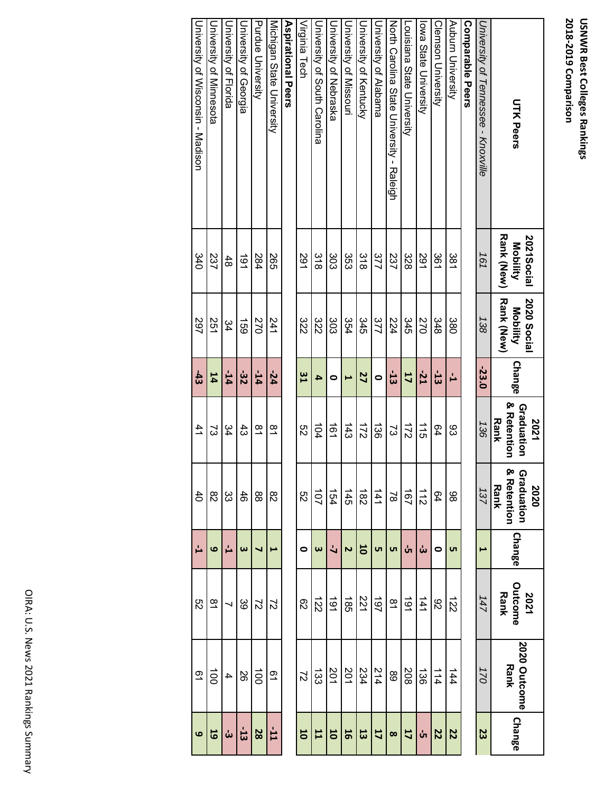| <b>UTK Peers</b>                          | <b>Rank (New)</b><br>2021Social<br>Mobility | Rank (New)<br>2020 Social<br>Mobility | Change        | & Retention<br>Graduation<br><b>Rank</b><br>2021 | & Retention<br>Graduation<br>Rank<br>2020 | <b>Change</b>           | Outcome<br><b>Rank</b><br>2021 | 2020 Outcome<br><b>Rank</b> | <b>Change</b>           |
|-------------------------------------------|---------------------------------------------|---------------------------------------|---------------|--------------------------------------------------|-------------------------------------------|-------------------------|--------------------------------|-----------------------------|-------------------------|
| University of Tennessee - Knoxville       | 161                                         | 138                                   | $-23.0$       | 136                                              | 137                                       | $\blacktriangleright$   | 147                            | $\overline{21}$             | 23                      |
| <b>Comparable Peers</b>                   |                                             |                                       |               |                                                  |                                           |                         |                                |                             |                         |
| Auburn University                         | 381                                         | 380                                   | ᆸ             | 83                                               | 86                                        | <b>ντ</b>               | $\vec{z}$                      | 144                         | 22                      |
| <b>Clemson Duiversity</b>                 | 361                                         | 348                                   | $\frac{1}{3}$ | 64                                               | 64                                        | $\bullet$               | 82                             | $\frac{1}{4}$               | <b>22</b>               |
| lowa State University                     | 291                                         | 270                                   | $-21$         | $\frac{1}{5}$                                    | $\frac{1}{2}$                             | ယ်                      | 141                            | 136                         | ບ່າ                     |
| Locisiana State University                | 328                                         | 345                                   | 17            | 571                                              | $\overline{5}$                            | ທ່                      | $\overrightarrow{61}$          | 208                         | 17                      |
| North Carolina State Chiversity - Raleigh | 237                                         | 224                                   | $\ddot{3}$    | S)                                               | $\approx$                                 | <b>υ</b> τ              | $\frac{8}{1}$                  | 89                          | $\infty$                |
| University of Alabama                     | 377                                         | 377                                   | $\bullet$     | $\overrightarrow{36}$                            | $\frac{141}{1}$                           | <b>υπ</b>               | 167                            | 214                         | 11                      |
| <b>Duiversity of Kentrucky</b>            | $\frac{8}{3}$                               | 345                                   | 27            | 172                                              | $\frac{1}{82}$                            | $\overline{\mathbf{5}}$ | 221                            | 234                         | $\overline{\mathbf{3}}$ |
| Chiveraity of Missouri                    | ပ္ပ်က္                                      | 354                                   | ⊢             | $\frac{43}{3}$                                   | $\frac{145}{1}$                           | N                       | $\frac{1}{85}$                 | 201                         | 16                      |
| <b>University of Nepraska</b>             | 303                                         | 303                                   | 0             | $\vec{e}$                                        | 154                                       | $\overline{a}$          | $\overrightarrow{61}$          | 201                         | 50                      |
| University of South Carolina              | $\frac{8}{8}$                               | 322                                   | 4             | 104                                              | 101                                       | $\boldsymbol{\omega}$   | $\overrightarrow{22}$          | ದ್ದ                         | 11                      |
| Virginia Tech                             | 291                                         | 322                                   | $\frac{8}{1}$ | ςg                                               | S2                                        | 0                       | 82                             | $\overline{c}$              | 50                      |
| <b>Aspirational Pers</b>                  |                                             |                                       |               |                                                  |                                           |                         |                                |                             |                         |
| Michigan State University                 | 265                                         | 241                                   | $-24$         | $\overline{6}$                                   | 82                                        | ī                       | $\overline{c}$                 | <u>ი</u>                    | F <sub>-</sub>          |
| <b>Purdue University</b>                  | 284                                         | 270                                   | $-14$         | $\frac{8}{1}$                                    | 88                                        | ч                       | $\overline{c}$                 | $\vec{0}$                   | 28                      |
| University of Georgia                     | $\frac{1}{6}$                               | <b>159</b>                            | -32           | $\ddot{3}$                                       | 46                                        | $\boldsymbol{\omega}$   | 39                             | 88                          | $\overline{5}$          |
| <b>Driversity of Horida</b>               | 48                                          | 34                                    | $-14$         | 34                                               | ŝ                                         | Ľ                       | $\overline{\phantom{0}}$       | 4                           | ယ်                      |
| <b>University of Minnesota</b>            | 237                                         | 251                                   | 14            | 23                                               | $\frac{8}{2}$                             | ဖ                       | $\approx$                      | $\vec{0}$                   | 19                      |
| University of Wisconsin - Madison         | 340                                         | 297                                   | $-43$         | 41                                               | $rac{4}{\sqrt{1}}$                        | А                       | S2                             | $\overline{6}$              | $\bullet$               |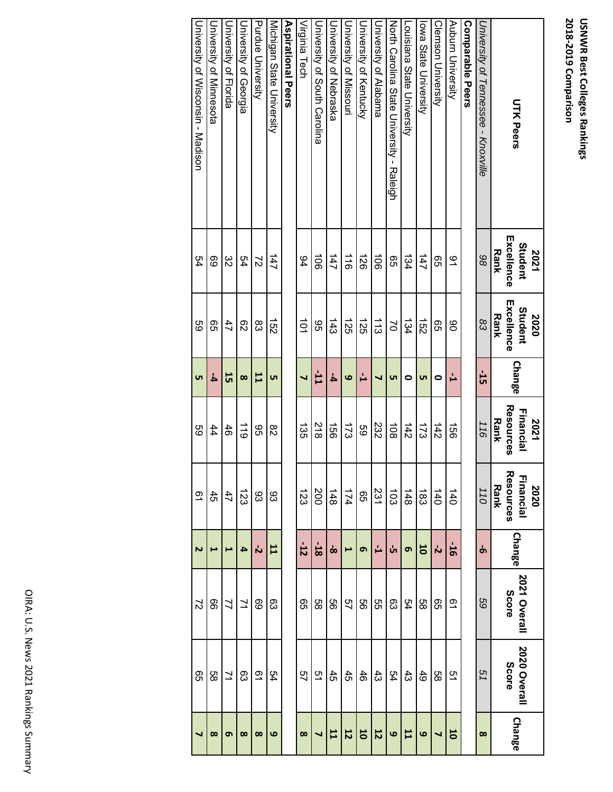| <b>UTK Peers</b>                          | Excellence<br>Student<br><b>Rank</b><br>2021 | Excellence<br>Student<br><b>Rank</b><br>2020 | <b>Change</b> | Resources<br>Financial<br>2021<br><b>Rank</b> | Resources<br>Financial<br>Rank<br>2020 | <b>Change</b> | 2021 Overall<br>Score | 2020 Overall<br><b>Score</b> | Change            |
|-------------------------------------------|----------------------------------------------|----------------------------------------------|---------------|-----------------------------------------------|----------------------------------------|---------------|-----------------------|------------------------------|-------------------|
| University of Tennessee - Knoxville       | 86                                           | 83                                           | եր<br>51      | 116                                           | 110                                    | Ⴛ             | 69                    | 51                           | $\infty$          |
| <b>Comparable Peers</b>                   |                                              |                                              |               |                                               |                                        |               |                       |                              |                   |
| Auburn University                         | م ک                                          | 8                                            | Ľ             | $\frac{1}{2}$                                 | $\overline{40}$                        | $\frac{1}{9}$ | 51                    | 51                           | 50                |
| Clemson University                        | 95                                           | 95                                           | 0             | 142                                           | $\overline{40}$                        | ら             | 95                    | 88                           | ┙                 |
| lowa State University                     | 147                                          | 152                                          | <b>UT</b>     | 173                                           | 183                                    | 50            | 88                    | 49                           | 6                 |
| Louisiana State University                | 134                                          | 134                                          | 0             | 142                                           | 148                                    | თ             | 54                    | $\ddot{43}$                  | 11                |
| North Carolina State Chiversity - Raleigh | 95                                           | S                                            | <b>υτ</b>     | $\overrightarrow{6}$                          | $\overline{5}$                         | ທ່            | 83                    | 54                           | $\mathbf  \omega$ |
| <b>Diversity of Alabama</b>               | $\vec{5}$                                    | $\frac{1}{3}$                                | ┙             | 232                                           | 231                                    | Ľ             | 9S                    | $\ddot{3}$                   | 12                |
| <b>Duiversity of Kentucky</b>             | $\overrightarrow{26}$                        | 125                                          | Ľ             | 89                                            | 95                                     | G             | 99                    | 46                           | 10                |
| <b>Chiversity of Missouri</b>             | $\frac{1}{9}$                                | 125                                          | ဖ             | $\overline{21}$                               | 174                                    | ⊢             | 57                    | 45                           | 12                |
| <b>Chiversity of Nepraska</b>             | 147                                          | 143                                          | 4             | $\overrightarrow{50}$                         | 148                                    | စ             | 99                    | 45                           | 11                |
| Diversity of South Carolina               | $\overrightarrow{5}$                         | 96                                           | <b>LL-</b>    | $\frac{218}{2}$                               | 200                                    | $-18$         | 9g                    | 51                           |                   |
| Virginia Tech                             | 94                                           | $\vec{0}$                                    | ┙             | 435                                           | 123                                    | $-12$         | 99                    | 57                           | $\infty$          |
| Aspirational Peers                        |                                              |                                              |               |                                               |                                        |               |                       |                              |                   |
| Michigan State University                 | 147                                          | $\frac{1}{2}$                                | ūп            | 82                                            | 83                                     | 11            | 63                    | 54                           | ဖ                 |
| <b>Purdue University</b>                  | $\approx$                                    | 83                                           | $\mathbf{1}$  | 9G                                            | 83                                     | ή             | 69                    | $\overline{6}$               | $\infty$          |
| Jniversity of Georgia                     | 54                                           | 82                                           | $\infty$      | $\frac{1}{6}$                                 | 123                                    | 4             | 71                    | 83                           | $\infty$          |
| University of Florida                     | 32                                           | 47                                           | 55            | 46                                            | 47                                     | Ē             | 7                     | $\geq$                       | თ                 |
| <b>University of Minnesota</b>            | 69                                           | ၛၟ                                           | 4             | 44                                            | $\ddot{5}$                             | E             | 8                     | 88                           | $\infty$          |
| University of Wisconsin - Madison         | 54                                           | 69                                           | <b>υτ</b>     | 89                                            | $\overline{6}$                         | Z             | $\overline{c}$        | 95                           |                   |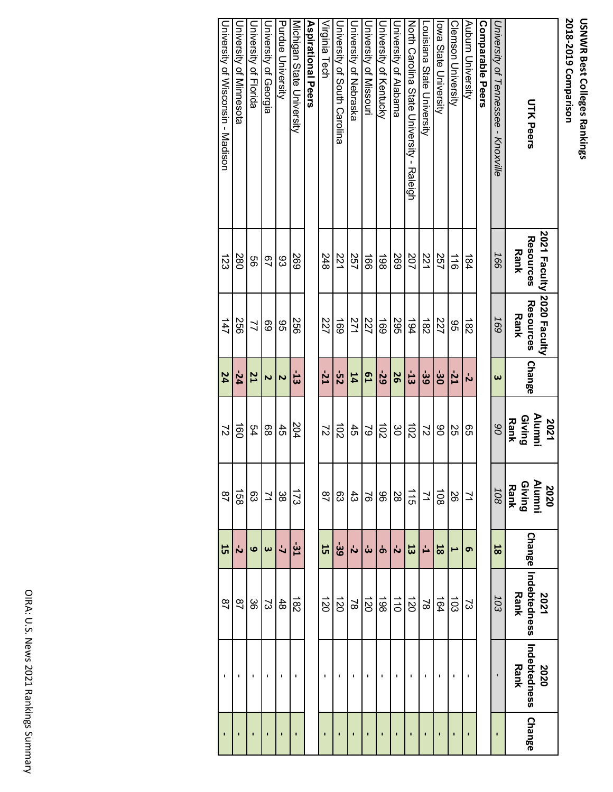| <b>UTK Peers</b>                          | 2021 Faculty 2020 Faculty<br>Resources<br><b>Rank</b> | <b>Resources</b><br><b>Rank</b> | <b>Change</b>         | Alumni<br>Giving<br><b>Rank</b><br>2021 | <b>Alumni</b><br><b>Giving</b><br>Rank<br>2020 | <b>Change</b>         | Indebtedness<br>Rank<br>2021 | Indebtedness<br>Rank<br>2020 | <b>Change</b>  |
|-------------------------------------------|-------------------------------------------------------|---------------------------------|-----------------------|-----------------------------------------|------------------------------------------------|-----------------------|------------------------------|------------------------------|----------------|
| University of Tennessee - Knoxville       | 166                                                   | 169                             | $\boldsymbol{\omega}$ | 8 <sup>o</sup>                          | 108                                            | 18                    | 103                          | ı                            |                |
| <b>Comparable Peers</b>                   |                                                       |                                 |                       |                                         |                                                |                       |                              |                              |                |
| Auburn University                         | 184                                                   | $\frac{1}{82}$                  | と                     | ၛၟ                                      | $\geq$                                         | თ                     | S)                           |                              | $\blacksquare$ |
| <b>Clemson University</b>                 | $\frac{1}{9}$                                         | 95                              | $-21$                 | SS                                      | 92                                             | ⊢                     | $\overline{5}$               | I.                           | ı              |
| lowa State University                     | 757                                                   | 727                             | မ်း                   | 80                                      | $\overline{108}$                               | $\overline{8}$        | 164                          | п                            | $\blacksquare$ |
| Louisiana State University                | 221                                                   | $\frac{182}{5}$                 | -39                   | $\approx$                               | $\overline{7}$                                 | 급                     | $\approx$                    | ı                            | ï              |
| North Carolina State Chiversity - Raleigh | 207                                                   | 194                             | $-13$                 | $\vec{0}$                               | $\frac{1}{5}$                                  | 13                    | $\overrightarrow{20}$        |                              | ı              |
| <b>Diversity of Alabama</b>               | 697                                                   | 295                             | 56                    | ပ္ပ                                     | 28                                             | ή                     | $\frac{1}{10}$               | ı                            | I              |
| University of Kentucky                    | 198                                                   | 691                             | -29                   | $\overrightarrow{0}$                    | 96                                             | Ⴛ                     | 861                          |                              |                |
| University of Missouri                    | $\frac{1}{90}$                                        | 227                             | L9                    | $\approx$                               | $\overline{9}$                                 | ယ်                    | $\overrightarrow{20}$        |                              |                |
| University of Nebraska                    | 257                                                   | 271                             | 14                    | 45                                      | $\ddot{43}$                                    | と                     | $\approx$                    | ı                            |                |
| University of South Carolina              | 221                                                   | 691                             | śz                    | $\overrightarrow{0}$                    | 83                                             | -39                   | $\overrightarrow{20}$        | I.                           | $\blacksquare$ |
| Virginia Tech                             | 248                                                   | 227                             | $-21$                 | $\overline{c}$                          | $\overline{2}$                                 | 15                    | $\overline{20}$              | ı                            | $\blacksquare$ |
| <b>Aspirational Peers</b>                 |                                                       |                                 |                       |                                         |                                                |                       |                              |                              |                |
| Micridan State Driversity                 | 269                                                   | 550                             | ដូ                    | 204                                     | $\frac{1}{2}$                                  | -31                   | $\frac{1}{82}$               | ı                            | ï              |
| <b>Purdue University</b>                  | 83                                                    | 96                              | $\overline{c}$        | 45                                      | ပ္တင                                           | $\overline{a}$        | 48                           | ı                            | ı              |
| University of Georgia                     | 97                                                    | 69                              | N                     | 88                                      | $\overline{z}$                                 | $\boldsymbol{\omega}$ | ς                            |                              |                |
| University of Florida                     | 99                                                    | $\overline{a}$                  | <b>21</b>             | 54                                      | 83                                             | ဖ                     | ပ္တ                          | ı                            |                |
| University of Minnesota                   | 280                                                   | 922                             | $-24$                 | $\vec{50}$                              | $\frac{158}{158}$                              | ή                     | $\overline{28}$              |                              |                |
| University of Wisconsin - Madison         | 123                                                   | 147                             | 24                    | $\overline{c}$                          | $\overline{28}$                                | 15                    | $\overline{28}$              | $\blacksquare$               |                |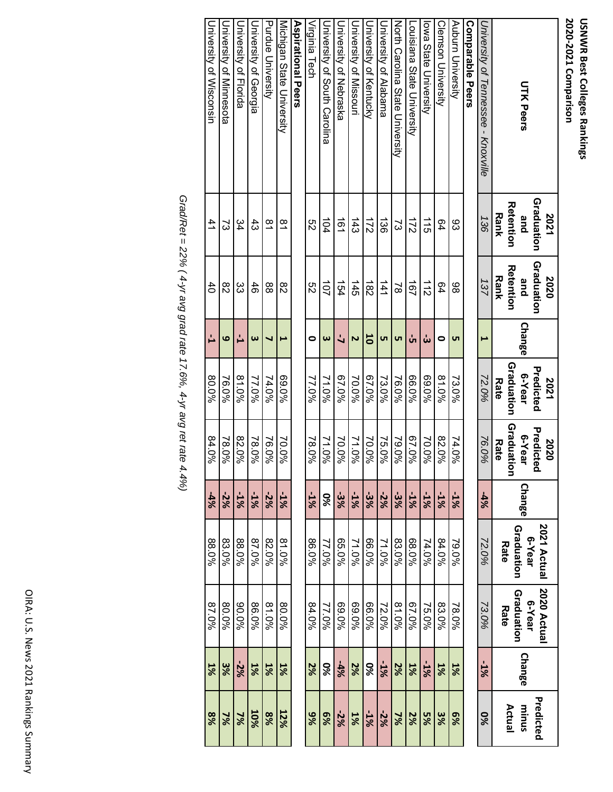| <b>UTK Peers</b>                    | Graduation<br><b>Retention</b><br><b>Rank</b><br>2021<br>and | Graduation<br><b>Retention</b><br><b>Rank</b><br>2020<br>and | Change                | Graduation<br>Predicted<br>6-Year<br>2021<br><b>Rate</b> | Graduation<br>Predicte<br>6-Year<br>2020<br>Rate<br>Q | Change | 2021 Actual<br>Graduation<br>e-Year<br>Rate | 2020 Actual<br>Graduation<br>e-Year<br>Rate | <b>Change</b> | Predicted<br>minus<br>Actual |
|-------------------------------------|--------------------------------------------------------------|--------------------------------------------------------------|-----------------------|----------------------------------------------------------|-------------------------------------------------------|--------|---------------------------------------------|---------------------------------------------|---------------|------------------------------|
| University of Tennessee - Knoxville | 136                                                          | 137                                                          | L                     | 72.0%                                                    | 76.0%                                                 | -4%    | 72.0%                                       | 73.0%                                       | -1%           | <b>9%</b>                    |
| Comparable Peers                    |                                                              |                                                              |                       |                                                          |                                                       |        |                                             |                                             |               |                              |
| Auburn University                   | 83                                                           | 86                                                           | <b>υτ</b>             | 73.0%                                                    | 74.0%                                                 | $-1%$  | 79.0%                                       | 78.0%                                       | 1%            | $6\%$                        |
| Clemson University                  | 64                                                           | 64                                                           | 0                     | $81.0\%$                                                 | 82.0%                                                 | $-1%$  | 84.0%                                       | 83.0%                                       | 1%            | 3%                           |
| lowa State University               | $\frac{1}{5}$                                                | $\frac{1}{2}$                                                | ယ်                    | 960.0%                                                   | 70.0%                                                 | $-1%$  | 74.0%                                       | 75.0%                                       | $-1%$         | 5%                           |
| Louisiana State University          | $\overline{z}$                                               | 191                                                          | ທ່                    | 66.0%                                                    | 67.0%                                                 | $-1%$  | 88.0%                                       | 940.79                                      | 1%            | 2%                           |
| North Carolina State Chiversity     | ವ                                                            | $\approx$                                                    | <b>υ</b> τ            | 76.0%                                                    | 79.0%                                                 | -3%    | 83.0%                                       | 81.0%                                       | 2%            | $\frac{2}{3}$                |
| University of Alabama               | $\vec{36}$                                                   | $\frac{141}{1}$                                              | <b>ν</b> τ            | 73.0%                                                    | 75.0%                                                 | $-2%$  | 71.0%                                       | 72.0%                                       | $-1%$         | $-2%$                        |
| <b>University of Kentrucky</b>      | $\frac{1}{2}$                                                | $\overrightarrow{82}$                                        | 5                     | 967.0%                                                   | 70.0%                                                 | -3%    | 96.0%                                       | 66.0%                                       | 8%            | -1%                          |
| <b>University of Missocri</b>       | $\frac{443}{5}$                                              | 145                                                          | $\overline{c}$        | 70.0%                                                    | 71.0%                                                 | $-1%$  | 71.0%                                       | 960.0%                                      | 2%            | 1%                           |
| Chiversity of Nepraska              | $\overline{161}$                                             | 154                                                          | $\overline{a}$        | 67.0%                                                    | 70.0%                                                 | 3%     | 65.0%                                       | 960.0%                                      | $-4%$         | $-2%$                        |
| Duresity of South Carolina          | 104                                                          | $\overrightarrow{c}$                                         | $\boldsymbol{\omega}$ | 71.0%                                                    | 71.0%                                                 | 98     | 77.0%                                       | 77.0%                                       | 9%            | %9                           |
| Virginia Tech                       | ςg                                                           | S2                                                           | $\bullet$             | 77.0%                                                    | 78.0%                                                 | $-1%$  | 96.0%                                       | 84.0%                                       | 2%            | 9%                           |
| <b>Aspirational Peers</b>           |                                                              |                                                              |                       |                                                          |                                                       |        |                                             |                                             |               |                              |
| Michigan State University           | $\overline{8}$                                               | 82                                                           | ⊢                     | 960'69                                                   | 70.0%                                                 | $-1%$  | 81.0%                                       | 80.0%                                       | 1%            | 12%                          |
| Purdue University                   | $\approx$                                                    | 88                                                           | ┙                     | 74.0%                                                    | 76.0%                                                 | $-2%$  | 82.0%                                       | 81.0%                                       | 1%            | %8                           |
| University of Georgia               | $\frac{4}{3}$                                                | 46                                                           | $\boldsymbol{\omega}$ | 77.0%                                                    | 78.0%                                                 | $-1%$  | 87.0%                                       | 86.0%                                       | 1%            | <b>10%</b>                   |
| University of Florida               | 34                                                           | ŝ                                                            | Ľ                     | 81.0%                                                    | 82.0%                                                 | $-1%$  | 88.0%                                       | %0.06                                       | $-2%$         | $\frac{2}{6}$                |
| Durversity of Minnesota             | 2                                                            | 82                                                           | 6                     | 76.0%                                                    | 78.0%                                                 | $-2%$  | 83.0%                                       | 80.0%                                       | ೫             | $\frac{2}{6}$                |
| University of Wisconsin             | $\overline{41}$                                              | $\overline{40}$                                              | Ľ,                    | 90.0%                                                    | 84.0%                                                 | $-4%$  | 88.0%                                       | 87.0%                                       | 1%            | %                            |

Grad/Ret = 22% (4-yr avg grad rate 17.6%, 4-yr avg ret rate 4.4%) *Grad/Ret = 22% ( 4-yr avg grad rate 17.6%, 4-yr avg ret rate 4.4%)*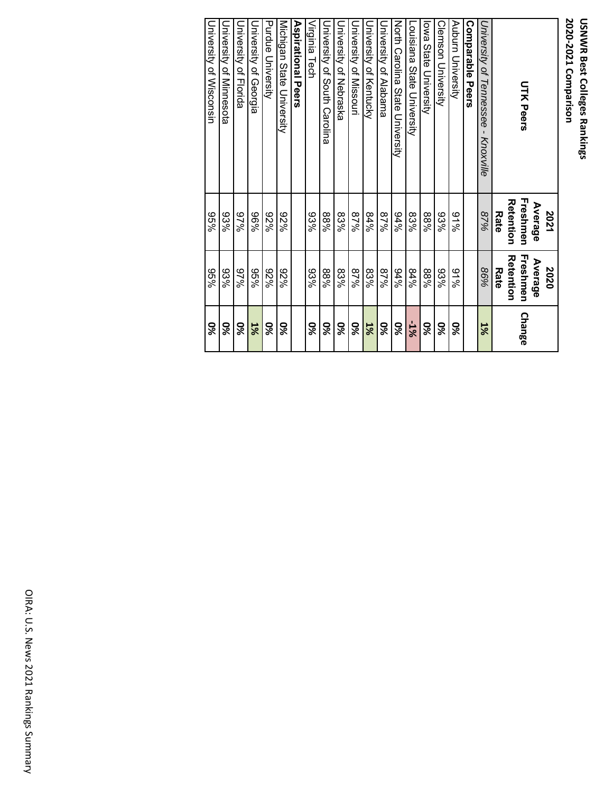| <b>UTK Peers</b>                    | Freshmen<br>Reterrior<br>Average<br>2021<br>Rate | Freshmen<br>Retention<br>Average<br>2020<br>Rate | Change |
|-------------------------------------|--------------------------------------------------|--------------------------------------------------|--------|
| University of Tennessee - Knoxville | 87%                                              | 86%                                              | 1%     |
| <b>Comparable Peers</b>             |                                                  |                                                  |        |
| Auburn University                   | 9/96                                             | 9/96                                             | 98     |
| Clemson University                  | 93%                                              | 93%                                              | 56     |
| lowa State University               | 88%                                              | %88                                              | 98     |
| Louisiana State University          | 83%                                              | 84%                                              | -1%    |
| North Carolina State University     | 84%                                              | 84%                                              | 86     |
| University of Alabama               | %28                                              | 87%                                              | 9s     |
| University of Kentucky              | 84%                                              | 83%                                              | 1%     |
| University of Missouri              | %28                                              | %28                                              | 86     |
| University of Nebraska              | 83%                                              | 83%                                              | 86     |
| University of Social Canolina       | %88                                              | %88                                              | 98     |
| Virginia Tech                       | 93%                                              | 93%                                              | 86     |
| <b>Aspirational Pers</b>            |                                                  |                                                  |        |
| Michigan State University           | %Z6                                              | %Z6                                              | 98     |
| Purdue University                   | %Z6                                              | %Z6                                              | 98     |
| University of Georgia               | %96                                              | %96                                              | 1%     |
| <b>Durersity of Horida</b>          | %26                                              | %26                                              | 56     |
| Durversity of Minnesota             | 93%                                              | 93%                                              | 56     |
| University of Wisconsin             | %96                                              | %96                                              | 86     |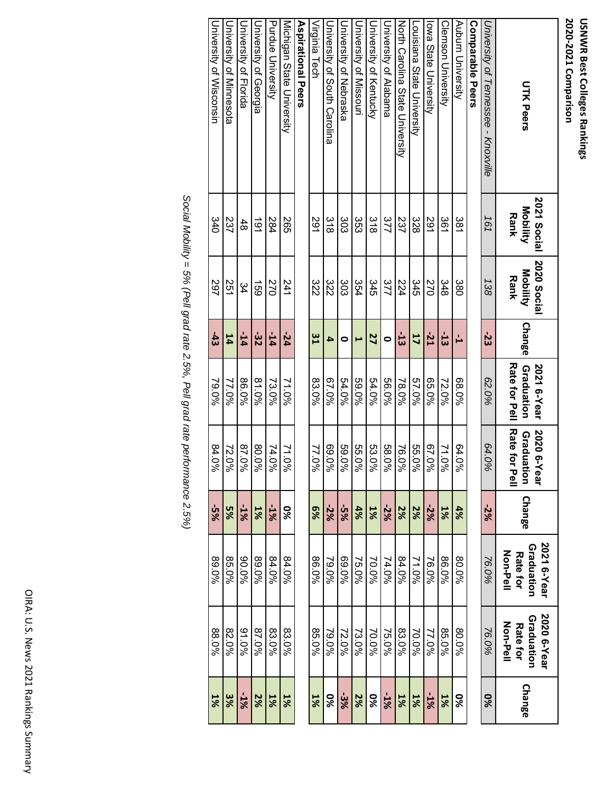| <b>UTK Peers</b>                    | 2021 Social<br>Mobility<br>Rank | 2020 Social<br>Mobility<br>Rank | <b>Change</b>  | <b>Rate for Pell</b><br>Graduation<br>2021 6-Year | <b>Rate for</b><br>2020 6-Y<br>Graduation<br>일<br><b>Tear</b> | <b>Change</b> | 2021 6-Year<br>Graduation<br>Non-Pell<br><b>Rate for</b> | 2020 6-Year<br>Graduation<br>Non-Pell<br><b>Rate for</b> | <b>Change</b> |
|-------------------------------------|---------------------------------|---------------------------------|----------------|---------------------------------------------------|---------------------------------------------------------------|---------------|----------------------------------------------------------|----------------------------------------------------------|---------------|
| University of Tennessee - Knoxville | 161                             | 138                             | -23            | 62.0%                                             | 64.0%                                                         | $-2\%$        | 76.0%                                                    | 76.0%                                                    | 9%            |
| Comparable Peers                    |                                 |                                 |                |                                                   |                                                               |               |                                                          |                                                          |               |
| Auburn University                   | 381                             | 380                             | Ľ              | 960.89                                            | 64.0%                                                         | 4%            | 80.0%                                                    | 80.0%                                                    | 9%            |
| Clemson University                  | 361                             | 348                             | $\overline{5}$ | 72.0%                                             | 71.0%                                                         | 1%            | 86.0%                                                    | 85.0%                                                    | 1%            |
| lowa State University               | 291                             | 270                             | $-21$          | 65.0%                                             | 67.0%                                                         | -2%           | 76.0%                                                    | 77.0%                                                    | -1%           |
| Louisiana State University          | 328                             | 345                             | 17             | 57.0%                                             | 55.0%                                                         | 2%            | 71.0%                                                    | 70.0%                                                    | 1%            |
| North Carolina State Driversity     | 237                             | 224                             | $\overline{5}$ | 78.0%                                             | 76.0%                                                         | 2%            | 84.0%                                                    | 83.0%                                                    | 1%            |
| University of Alabama               | 377                             | 377                             | $\bullet$      | 56.0%                                             | 58.0%                                                         | $-2%$         | 74.0%                                                    | 75.0%                                                    | $-1%$         |
| University of Kentucky              | $\frac{8}{8}$                   | 345                             | 27             | 54.0%                                             | 53.0%                                                         | 1%            | 70.0%                                                    | 70.0%                                                    | <b>9%</b>     |
| <b>University of Missorri</b>       | 33<br>S3                        | 354                             | E              | 59.0%                                             | 55.0%                                                         | 4%            | 75.0%                                                    | 73.0%                                                    | 2%            |
| Chiversity of Nepraska              | 303                             | 303                             | 0              | 54.0%                                             | 59.0%                                                         | $-5%$         | 960.0%                                                   | 72.0%                                                    | $-3%$         |
| University of South Carolina        | $\frac{8}{8}$                   | 322                             | 4              | %0'29                                             | 960'69                                                        | $-2%$         | 79.0%                                                    | 79.0%                                                    | <b>9%</b>     |
| Virginia Tech                       | 291                             | 322                             | $\frac{8}{1}$  | 83.0%                                             | 77.0%                                                         | 8%            | 96.0%                                                    | 85.0%                                                    | 1%            |
| <b>Aspirational Peers</b>           |                                 |                                 |                |                                                   |                                                               |               |                                                          |                                                          |               |
| Michigan State University           | 565                             | 241                             | $-24$          | 71.0%                                             | 71.0%                                                         | 98            | 84.0%                                                    | 83.0%                                                    | $1\%$         |
| Purdue University                   | 284                             | 270                             | $-14$          | 73.0%                                             | 74.0%                                                         | $-1%$         | 84.0%                                                    | 83.0%                                                    | 1%            |
| University of Georgia               | $\overline{6}$                  | <b>159</b>                      | -32            | 81.0%                                             | 80.0%                                                         | 1%            | 89.0%                                                    | 87.0%                                                    | 2%            |
| University of Florida               | 48                              | 34                              | $-14$          | 86.0%                                             | 87.0%                                                         | $-1%$         | 960.08                                                   | 94.0%                                                    | $-1%$         |
| University of Minnesota             | 237                             | 251                             | 14             | 77.0%                                             | 72.0%                                                         | 5%            | 85.0%                                                    | 82.0%                                                    | 3%            |
| <b>University of Wisconsin</b>      | 340                             | 297                             | $-43$          | 79.0%                                             | 84.0%                                                         | $-5%$         | %0.68                                                    | 88.0%                                                    | 1%            |

Social Mobility = 5% (Pell grad rate 2.5%, Pell grad rate performance 2.5%) *Social Mobility = 5% (Pell grad rate 2.5%, Pell grad rate performance 2.5%)*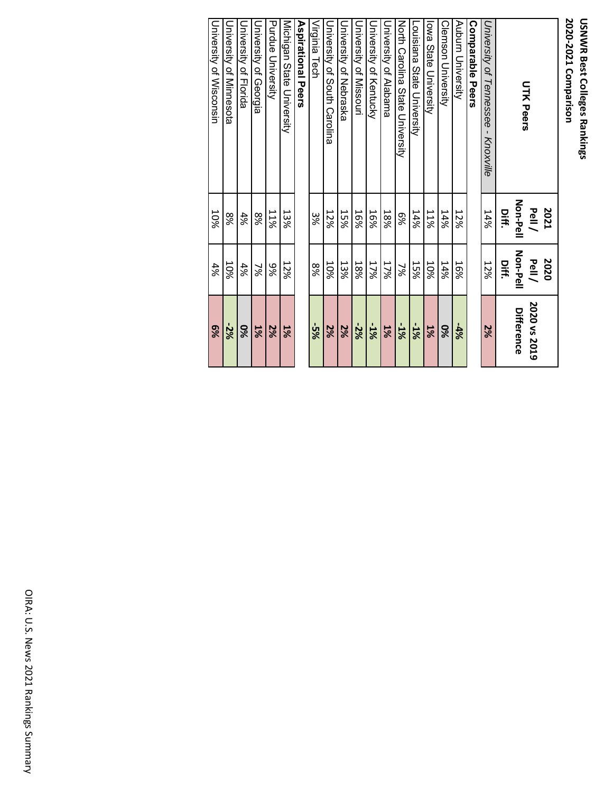| <b>UTK Peers</b>                    | <b>Non-Pell</b><br><b>2021</b><br>Pell/ | Non-Pell<br>2020<br>Pell/ | 2020 vs 2019<br>Difference |
|-------------------------------------|-----------------------------------------|---------------------------|----------------------------|
| University of Tennessee - Knoxville | 14%<br>Diff.                            | 12%<br>Diff.              | 2%                         |
| <b>Comparable Pers</b>              |                                         |                           |                            |
| Auburn University                   | 12%                                     | 16%                       | $-4\%$                     |
| <b>Clemson University</b>           | 14%                                     | 14%                       | 9%                         |
| lowa State University               | <b>11%</b>                              | 10%                       | $1\%$                      |
| Louisiana State University          | 14%                                     | <b>15%</b>                | $-1%$                      |
| North Carolina State Chiversity     | 8%                                      | 7%                        | $-1%$                      |
| University of Alabama               | 18%                                     | 17%                       | 1%                         |
| <b>University of Kentucky</b>       | 16%                                     | 17%                       | $-1%$                      |
| University of Missouri              | 16%                                     | 18%                       | $-2%$                      |
| Chiversity of Nepraska              | <b>15%</b>                              | 13%                       | 2%                         |
| University of South Carolina        | 12%                                     | 10%                       | 2%                         |
| Virginia Tech                       | 9%                                      | 8%                        | $\frac{5}{2}$              |
| <b>Aspirational Peers</b>           |                                         |                           |                            |
| Michigan State University           | 13%                                     | 12%                       | 1%                         |
| Purdue University                   | 11%                                     | 9%                        | 2%                         |
| University of Georgia               | 8%                                      | ž                         | 1%                         |
| University of Florida               | 4%                                      | 4%                        | 9%                         |

University of Wisconsin University of Minnesota

University of Wisconsin University of Minnesota

8%10%

 $\frac{10\%}{4\%}$ 

**‐2% 6%**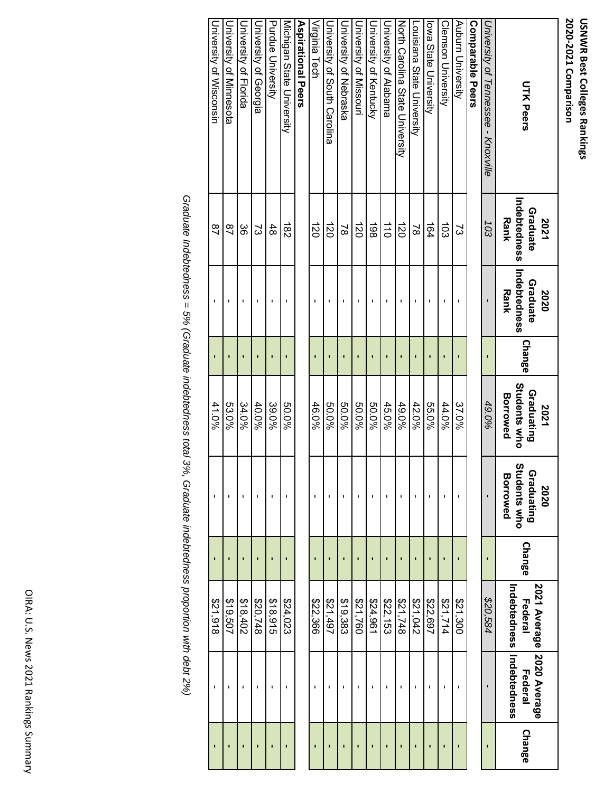| <b>UTK Peers</b>                    | Indebtedness<br>Graduate<br><b>Rank</b><br>2021 | Indebtedness<br>Graduate<br><b>Rank</b><br>2020 | <b>Change</b>  | <b>Students who</b><br>Graduating<br><b>Borrowed</b><br>2021 | Students who<br>Graduating<br><b>Borrowed</b><br>2020 | Change         | 2021 Average 2020 Average<br>Indebtedness<br>Federal | Indebtedness<br>Federal | <b>Change</b>  |
|-------------------------------------|-------------------------------------------------|-------------------------------------------------|----------------|--------------------------------------------------------------|-------------------------------------------------------|----------------|------------------------------------------------------|-------------------------|----------------|
| University of Tennessee - Knoxville | 103                                             |                                                 |                | 49.0%                                                        |                                                       |                | \$20,584                                             |                         | ı              |
| <b>Comparable Peers</b>             |                                                 |                                                 |                |                                                              |                                                       |                |                                                      |                         |                |
| Auburn University                   | 2                                               |                                                 |                | 37.0%                                                        |                                                       |                | 221,300                                              |                         |                |
| Clemson University                  | ದ                                               |                                                 | ī              | 44.0%                                                        | f,                                                    | ī              | \$21,714                                             | I.                      | ī              |
| lowa State University               | 164                                             |                                                 |                | 55.0%                                                        |                                                       |                | \$22,697                                             |                         |                |
| Louisiana State University          | $\approx$                                       |                                                 |                | 42.0%                                                        | I.                                                    |                | 21,042                                               |                         |                |
| North Carolina State Driversity     | $\overrightarrow{20}$                           |                                                 | $\blacksquare$ | 49.0%                                                        | $\blacksquare$                                        |                | \$21,748                                             | ı                       | п              |
| University of Alabama               | $\overrightarrow{0}$                            | п                                               |                | 45.0%                                                        | J.                                                    |                | \$22,153                                             | п                       |                |
| University of Kentucky              | 198                                             | J.                                              | $\blacksquare$ | 50.0%                                                        | ı                                                     |                | \$24,961                                             | J.                      | $\blacksquare$ |
| <b>University of Missouri</b>       | $\vec{z}$                                       | J.                                              | ı              | 50.0%                                                        | J.                                                    |                | \$21,760                                             | J.                      | п              |
| Chiversity of Nebraska              | $\approx$                                       | $\blacksquare$                                  | ı              | 50.0%                                                        | $\blacksquare$                                        |                | \$19,383                                             | ı                       | r              |
| Driversity of South Carolina        | $\vec{z}$                                       |                                                 |                | 50.0%                                                        | f,                                                    |                | 164,197                                              |                         |                |
| Virginia Tech                       | $\vec{c}$                                       |                                                 |                | 46.0%                                                        | ı                                                     | ī              | \$22,366                                             | ı                       | ī              |
| Aspirational Peers                  |                                                 |                                                 |                |                                                              |                                                       |                |                                                      |                         |                |
| Michigan State University           | $\overrightarrow{82}$                           |                                                 |                | 50.0%                                                        | ı                                                     |                | \$24,023                                             |                         |                |
| Purdue University                   | 48                                              |                                                 |                | 39.0%                                                        | J.                                                    |                | \$18,915                                             |                         |                |
| University of Georgia               | 2                                               |                                                 |                | 40.0%                                                        | п                                                     |                | \$20,748                                             |                         |                |
| <b>Durersity of Horida</b>          | ပ္တ                                             |                                                 |                | 34.0%                                                        | I.                                                    |                | \$18,402                                             |                         |                |
| University of Minnesota             | $\frac{8}{1}$                                   |                                                 |                | 53.0%                                                        |                                                       |                | \$19,507                                             |                         |                |
| University of Wisconsin             | $\overline{28}$                                 | $\blacksquare$                                  | $\blacksquare$ | 41.0%                                                        | ı                                                     | $\blacksquare$ | \$21,918                                             | ı                       | Ţ              |

Graduate Indebtedness = 5% (Graduate indebtedness total 3%, Graduate indebtedness proportion with debt 2%) *Graduate Indebtedness = 5% (Graduate indebtedness total 3%, Graduate indebtedness proportion with debt 2%)*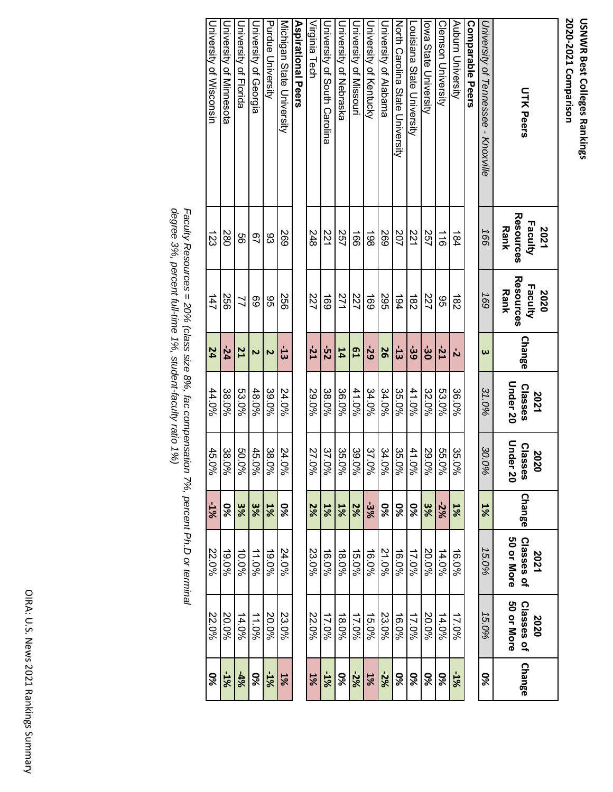| <b>UTK Peers</b>                    | Resources<br>Faculty<br>2021<br><b>Rank</b> | Resources<br>Faculty<br>Rank<br>2020 | Change                | Under 20<br><b>Classes</b><br>2021 | Under<br><b>Classes</b><br>2020<br>.<br>8 | Change    | 50 or More<br>Classes of<br>2021 | 50 or More<br>Classes of<br>2020 | <b>Change</b> |
|-------------------------------------|---------------------------------------------|--------------------------------------|-----------------------|------------------------------------|-------------------------------------------|-----------|----------------------------------|----------------------------------|---------------|
| University of Tennessee - Knoxville | 166                                         | 691                                  | $\boldsymbol{\omega}$ | 31.0%                              | 30.0<br>$\frac{5}{6}$                     | 1%        | 15.0%                            | 15.0%                            | 9%            |
| Comparable Peers                    |                                             |                                      |                       |                                    |                                           |           |                                  |                                  |               |
| Auburn University                   | 184                                         | $\frac{1}{82}$                       | ή                     | 36.0%                              | 35.0<br>ৡ                                 | 1%        | 16.0%                            | 17.0%                            | $-1\%$        |
| Clemson University                  | $\frac{1}{9}$                               | 96                                   | $-21$                 | 53.0%                              | 55.0%                                     | $-2%$     | 14.0%                            | 14.0%                            | <b>9%</b>     |
| lowa State University               | 257                                         | 227                                  | မ်း                   | 32.0%                              | 29.0%                                     | 3%        | 20.0%                            | 20.0%                            | 9%            |
| Louisiana State University          | 221                                         | $\frac{182}{5}$                      | မ်း                   | 41.0%                              | 41.0%                                     | 9%        | 17.0%                            | 17.0%                            | 9%            |
| North Carolina State Driversity     | 202                                         | 194                                  | $-13$                 | 35.0%                              | 35.0%                                     | 9%        | 16.0%                            | 16.0%                            | %             |
| University of Alabama               | 592                                         | 295                                  | 56                    | 34.0%                              | 34.0%                                     | 9%        | 21.0%                            | 23.0%                            | $-2%$         |
| Driversity of Kentrucky             | 861                                         | 691                                  | -29                   | 34.0%                              | 37.0%                                     | -3%       | 16.0%                            | 15.0%                            | $1\%$         |
| University of Missouri              | $\vec{5}$                                   | 227                                  | <b>DJ</b>             | 41.0%                              | 39.0%                                     | 2%        | 15.0%                            | 17.0%                            | $-2%$         |
| Chiversity of Nebraska              | 257                                         | 271                                  | 14                    | 36.0%                              | 35.0%                                     | 1%        | 48.0%                            | 18.0%                            | 9%            |
| Duresity of South Carolina          | 221                                         | <b>169</b>                           | $25 -$                | 38.0%                              | 37.0%                                     | 1%        | 16.0%                            | 17.0%                            | $-1%$         |
| Virginia Tech                       | 248                                         | 227                                  | $-21$                 | 29.0%                              | 27.0%                                     | 2%        | 23.0%                            | 22.0%                            | $1\%$         |
| <b>Aspirational Peers</b>           |                                             |                                      |                       |                                    |                                           |           |                                  |                                  |               |
| Micrigan State University           | <b>269</b>                                  | 99<br>2                              | $\frac{1}{3}$         | 24.0%                              | 24.0%                                     | <b>9%</b> | 24.0%                            | 23.0%                            | 1%            |
| Purdue University                   | 83                                          | 9S                                   | Z                     | 39.0%                              | 38.0%                                     | 1%        | $19.0\%$                         | 20.0%                            | $-1%$         |
| University of Georgia               | 97                                          | 89                                   | $\overline{v}$        | 48.0%                              | 45.0%                                     | 3%        | 11.0%                            | 11.0%                            | <b>9%</b>     |
| Durieratity of Horida               | 99                                          | $\mathcal{I}$                        | 21                    | 53.0%                              | 50.0%                                     | 3%        | 10.0%                            | 14.0%                            | $-4%$         |
| University of Minnesota             | 280                                         | 997                                  | $-24$                 | 38.0%                              | 38.0%                                     | ್ಯ<br>%   | $19.0\%$                         | 20.0%                            | $-1\%$        |
| University of Wisconsin             | 123                                         | 147                                  | 24                    | 44.0%                              | 45.0%                                     | %T-       | 22.0%                            | 22.0%                            | 9%            |

*de Faculty Resources = 20% (class size 8%, fac compensation 7%, percent Ph.D or terminal gree 3%, percent full-time 1%, student-faculty ratio 1%)*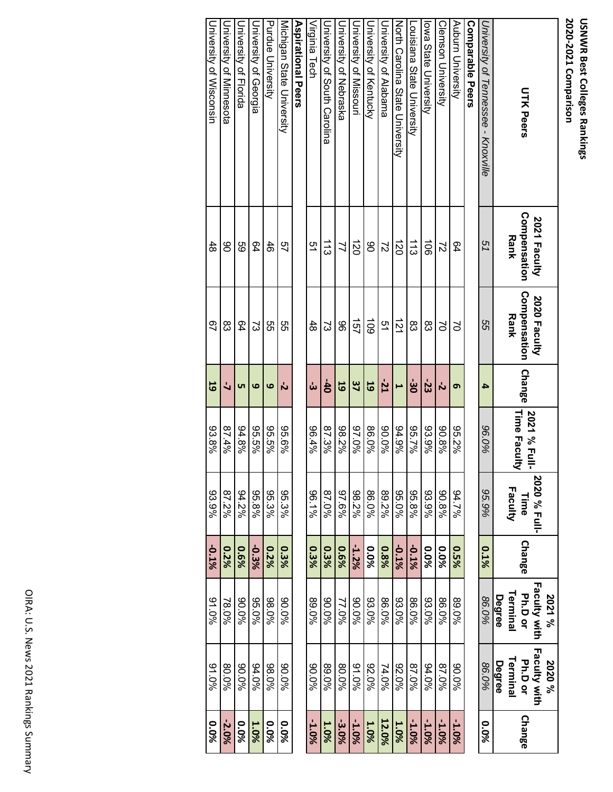| <b>UTK Peers</b>                    | Compensation<br><b>2021 Faculty</b><br>Rank | Compensation<br>2020 Faculty<br><b>Rank</b> | <b>Change</b> | Time Faculty<br>2021 % Full- | 2020 % Full-<br>Faculty<br>Time | <b>Change</b> | <b>Faculty with</b><br>Terminal<br><b>Ph.Dor</b><br>2021%<br>Degree | Faculty with<br>Terminal<br>Ph.D or<br>2020%<br>Degree | Change   |
|-------------------------------------|---------------------------------------------|---------------------------------------------|---------------|------------------------------|---------------------------------|---------------|---------------------------------------------------------------------|--------------------------------------------------------|----------|
| University of Tennessee - Knoxville | 51                                          | 95                                          | 4             | 96.0%                        | 95.9%                           | 0.1%          | 86.0%                                                               | 86.0%                                                  | 0.0%     |
| <b>Comparable Peers</b>             |                                             |                                             |               |                              |                                 |               |                                                                     |                                                        |          |
| Auburn University                   | 64                                          | S                                           | თ             | 95.2%                        | 94.7%                           | 0.5%          | 89.0%                                                               | 90.0%                                                  | -1.0%    |
| <b>Clemson University</b>           | $\overline{c}$                              | $\geq$                                      | ら             | 90.8%                        | 90.8%                           | 0.0%          | 86.0%                                                               | 87.0%                                                  | -1.0%    |
| Iowa State University               | $\vec{5}$                                   | 83                                          | -23           | 93.9%                        | 93.9%                           | 0.0%          | 93.0%                                                               | 94.0%                                                  | -1.0%    |
| Louisiana State University          | $\frac{1}{3}$                               | 83                                          | မ်း           | 96.7%                        | 95.8%                           | -0.1%         | 86.0%                                                               | 87.0%                                                  | -1.0%    |
| North Carolina State University     | 120                                         | $\vec{z}$                                   |               | 94.9%                        | 95.0%                           | -0.1%         | 93.0%                                                               | 92.0%                                                  | 1.0%     |
| University of Alabama               | $\overline{c}$                              | 51                                          | $-21$         | 96.0%                        | 89.2%                           | 0.8%          | 86.0%                                                               | 74.0%                                                  | 12.0%    |
| University of Kentucky              | 80                                          | $\overline{5}$                              | 59            | 86.0%                        | 86.0%                           | 0.0%          | 93.0%                                                               | 92.0%                                                  | 1.0%     |
| University of Missorri              | $\vec{z}$                                   | 157                                         | 37            | %0'26                        | 98.2%                           | $-1.2\%$      | 90.0%                                                               | 91.0%                                                  | -1.0%    |
| Chiversity of Nebraska              | 77                                          | 96                                          | 59            | 98.2%                        | 97.6%                           | 96%           | 77.0%                                                               | 80.0%                                                  | -3.0%    |
| Chiversity of South Carolina        | $\vec{5}$                                   | ದ                                           | $-40$         | 87.3%                        | %0.78                           | 0.3%          | 90.0%                                                               | 89.0%                                                  | 1.0%     |
| Virginia Tech                       | 51                                          | 48                                          | ယ်            | 96.4%                        | $96.1\%$                        | 0.3%          | 89.0%                                                               | 960.06                                                 | -1.0%    |
| Aspirational Peers                  |                                             |                                             |               |                              |                                 |               |                                                                     |                                                        |          |
| Michigan State University           | 57                                          | ლ<br>თ                                      | ら             | 95.6%                        | 95.3%                           | 0.3%          | 90.0%                                                               | 90.0%                                                  | 0.0%     |
| Purdue University                   | 46                                          | 9G                                          | 6             | 96.5%                        | 95.3%                           | 0.2%          | 98.0%                                                               | 98.0%                                                  | 0.0%     |
| University of Georgia               | 64                                          | ದ                                           | ဖ             | 96.5%                        | 95.8%                           | -0.3%         | 95.0%                                                               | 94.0%                                                  | 1.0%     |
| University of Florida               | 89                                          | 64                                          | ပာ            | 94.8%                        | 94.2%                           | 96%           | 90.06                                                               | 90.0%                                                  | 0.0%     |
| University of Minnesota             | 80                                          | 83                                          |               | %7.78                        | 87.2%                           | 0.2%          | 78.0%                                                               | 80.0%                                                  | $-2.0\%$ |

University of Wisconsin

University of Wisconsin

48

67

**19**

93.8%

93.9%

**‐0.1%**

91.0%

91.0%

**0.0%**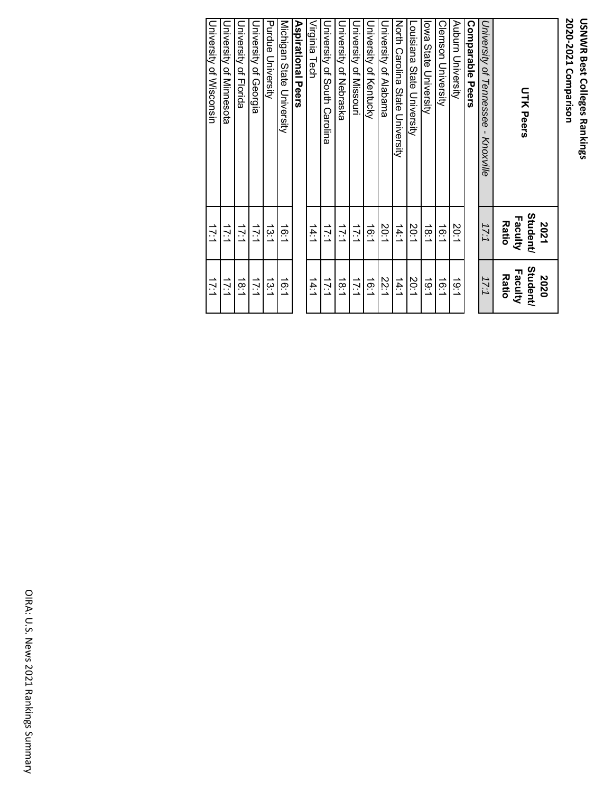| <b>UTK Peers</b>                                       | Student/<br>Faculty<br><b>Ratio</b><br>2021 | <b>Student/</b><br>Faculty<br><b>Ratio</b><br>2020 |
|--------------------------------------------------------|---------------------------------------------|----------------------------------------------------|
| University of Tennessee<br>$\blacksquare$<br>Knoxville | 17:1                                        | 17:1                                               |
| <b>Comparable Peers</b>                                |                                             |                                                    |
| Auburn University                                      | 20:1                                        | 1.61                                               |
| <b>Clemson University</b>                              | $\frac{1}{6}$                               | $\frac{1}{9}$                                      |
| lowa State University                                  | 18.1                                        | $\frac{1}{9}$                                      |
| Louisiana State University                             | 20:1                                        | 20:1                                               |
| North Carolina State Chiversity                        | 14:1                                        | 14:1                                               |
| University of Alabama                                  | 20:1                                        | 22:1                                               |
| Duiversity of Kentucky                                 | $\frac{1}{2}$                               | 16:1                                               |
| University of Missouri                                 | 17:1                                        | 17:1                                               |
| University of Nebraska                                 | 17:1                                        | $\frac{1}{8.1}$                                    |
| University of South Carolina                           | 17:1                                        | 17:1                                               |
| Virginia Tech                                          | 14:1                                        | $\frac{14.1}{4}$                                   |
| Aspirational Peers                                     |                                             |                                                    |
| Michigan State University                              | ίë:1                                        | Ϊë:1                                               |
| Purdue University                                      | ئبة                                         | 13.1                                               |
| University of Georgia                                  | 17:1                                        | 17:1                                               |
| Duriversity of Horida                                  | 17:1                                        | 18:1                                               |
| Durversity of Minnesota                                | 17:1                                        | 17:1                                               |
| University of Wisconsin                                | 17:1                                        | 17:1                                               |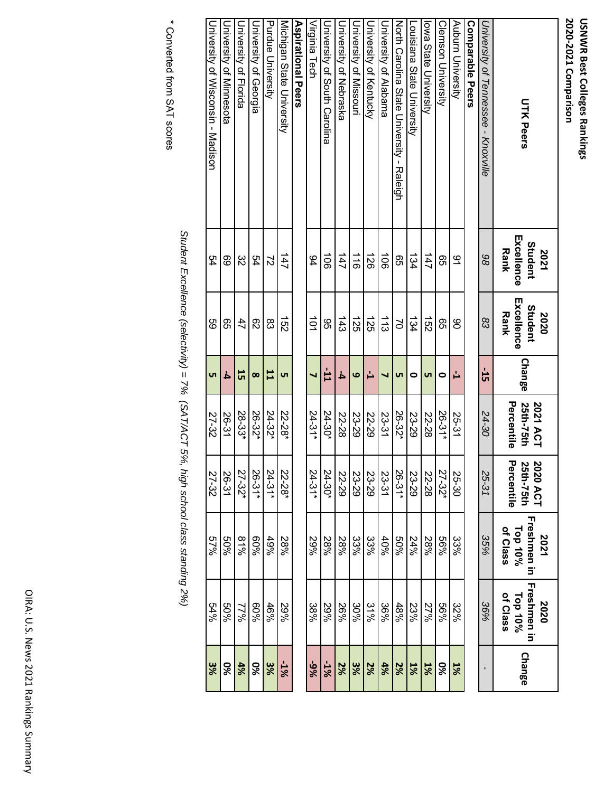| <b>UTK Peers</b>                          | Excellence<br>Student<br><b>Rank</b><br>2021 | Excellence<br>Student<br><b>Rank</b><br>2020 | <b>Change</b> | Percentile<br>25th-75th<br>2021 ACT | 2020 ACT<br>25th-75th<br>Percentile | Freshmen in<br>Top 10%<br>of Class<br>2021 | Freshmen in<br>Top 10%<br>of Class<br>2020 | <b>Change</b> |
|-------------------------------------------|----------------------------------------------|----------------------------------------------|---------------|-------------------------------------|-------------------------------------|--------------------------------------------|--------------------------------------------|---------------|
| University of Tennessee - Knoxville       | 86                                           | 83                                           | 51-           | 24-30                               | 25-31                               | 35%                                        | 36%                                        |               |
| Comparable Peers                          |                                              |                                              |               |                                     |                                     |                                            |                                            |               |
| Auburn University                         | ٩                                            | 80                                           | ↵             | 25-31                               | 25-30                               | 33%                                        | 32%                                        | 1%            |
| <b>Clemson University</b>                 | 95                                           | 95                                           | 0             | 26-31*                              | 27-32*                              | %99                                        | %99                                        | 9%            |
| lowa State University                     | 147                                          | $\overrightarrow{52}$                        | <b>υ</b> τ    | 22-28                               | 22-28                               | 28%                                        | 27%                                        | $1\%$         |
| Louisiana State University                | 134                                          | 134                                          | 0             | 23-29                               | 23-29                               | 24%                                        | 23%                                        | 1%            |
| North Carolina State University - Raleigh | 95                                           | S                                            | <b>υ</b> τ    | 26-32*                              | 26-31*                              | 9609                                       | 48%                                        | 2%            |
| University of Alabama                     | $\vec{5}$                                    | $\frac{1}{3}$                                | ┙             | 23-31                               | 23-31                               | 40%                                        | 36%                                        | 4%            |
| University of Kentucky                    | $\overrightarrow{26}$                        | $\overrightarrow{25}$                        | Ľ,            | 22-29                               | 23-29                               | 33%                                        | 31%                                        | 2%            |
| University of Missouri                    | $\frac{1}{9}$                                | 321                                          | 6             | 23-29                               | 23-29                               | 33%                                        | 30%                                        | 3%            |
| University of Nebraska                    | 147                                          | $\frac{443}{5}$                              | 4             | 22-28                               | 22-29                               | 28%                                        | 26%                                        | 2%            |
| University of South Carolina              | $\vec{5}$                                    | 95                                           | $-11$         | 24-30*                              | 24-30*                              | 28%                                        | 29%                                        | -1%           |
| Virginia Tech                             | 94                                           | $\vec{0}$                                    | ┙             | $24 - 31*$                          | $24 - 31*$                          | 29%                                        | 38%                                        | -9%           |
| <b>Aspirational Peers</b>                 |                                              |                                              |               |                                     |                                     |                                            |                                            |               |
| Michigan State University                 | 147                                          | $\overline{52}$                              | <b>υ</b> τ    | 22-28*                              | 22-28*                              | 28%                                        | 29%                                        | $-1%$         |
| Purdue University                         | 2                                            | 83                                           | 11            | 24-32*                              | $24 - 31*$                          | 49%                                        | 46%                                        | 3%            |
| University of Georgia                     | 54                                           | 82                                           | $\infty$      | 26-32*                              | $26-31*$                            | 9609                                       | %09                                        | <b>9%</b>     |
| University of Florida                     | 32                                           | 47                                           | 55            | 28-33*                              | 27-32*                              | 81%                                        | 9622                                       | 4%            |
| University of Minnesota                   | 69                                           | ვე                                           | 4             | 26-31                               | 26-31                               | %0S                                        | %0S                                        | <b>9%</b>     |
| University of Wisconsin - Madison         | 54                                           | 69                                           | <u>uπ</u>     | 27-32                               | 27-32                               | %29                                        | 54%                                        | 3%            |

\* Converted from SAT scores \* Converted from SAT scores

*Student Excellence (selectivity) = 7% (SAT/ACT 5%, high school class standing 2%)*

Student Excellence (selectivity) = 7% (SAT/ACT 5%, high school class standing 2%)

OIRA: U.S. News 2021 Rankings Summary OIRA: U.S. News 2021 Rankings Summary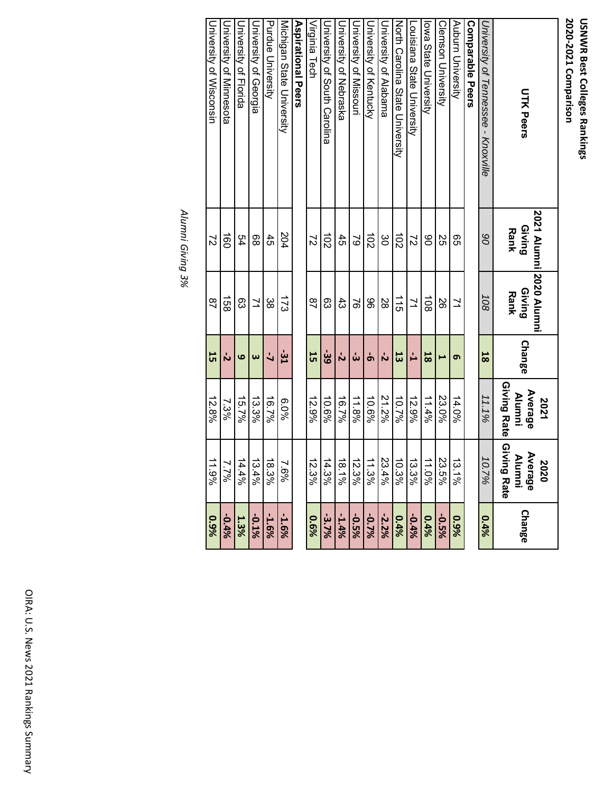# USNWR Best Colleges Rankings<br>2020-2021 Comparison **2020‐2021 Comparison USNWR Best Colleges Rankings**

| <b>UTK Peers</b>                    | <b>Giving</b><br>Rank | <b>2021 Alumni 2020 Alumni</b><br>Giving<br>Rank | <b>Change</b>         | Giving Rate<br>Average<br><b>Alumni</b><br>2021 | Giving Rate<br>Average<br><b>Alumni</b><br>2020 | <b>Change</b> |
|-------------------------------------|-----------------------|--------------------------------------------------|-----------------------|-------------------------------------------------|-------------------------------------------------|---------------|
| University of Tennessee - Knoxville | 80                    | 108                                              | 58                    | 11.1%                                           | 10.7%                                           | 0.4%          |
| <b>Comparable Peers</b>             |                       |                                                  |                       |                                                 |                                                 |               |
| Auburn University                   | ვ<br>თ                | 71                                               | Ō                     | 14.0%                                           | 13.1%                                           | 9%            |
| <b>Clemson University</b>           | δŚ                    | 88                                               | ⊢                     | 23.0%                                           | 23.5%                                           | -0.5%         |
| Iowa State University               | 80                    | $\overrightarrow{6}$                             | 18                    | 11.4%                                           | 11.0%                                           | 0.4%          |
| Locisiana State Driversity          | $\overline{z}$        | ュ                                                | 급                     | 12.9%                                           | 13.3%                                           | $-0.4%$       |
| North Carolina State Chiversity     | $\overline{5}$        | $\frac{1}{5}$                                    | 53                    | 10.7%                                           | 10.3%                                           | 0.4%          |
| University of Alabama               | ပ္ပ                   | 88                                               | Ń                     | 21.2%                                           | 23.4%                                           | $-2.2%$       |
| University of Kentucky              | $\overrightarrow{0}$  | 96                                               | Ⴛ                     | 10.6%                                           | 11.3%                                           | -0.7%         |
| University of Missouri              | $\approx$             | 97                                               | ယ်                    | 11.8%                                           | 12.3%                                           | -0.5%         |
| University of Nebraska              | 45                    | ಕೆ                                               | 'n                    | 16.7%                                           | $18.1\%$                                        | $-1.4%$       |
| University of South Carolina        | $\overrightarrow{0}$  | සි                                               | ဖွဲ့                  | 10.6%                                           | 14.3%                                           | $-3.7\%$      |
| Virginia Tech                       | $\overline{c}$        | $\frac{8}{4}$                                    | 55                    | 12.9%                                           | 12.3%                                           | 96%           |
| Aspirational Peers                  |                       |                                                  |                       |                                                 |                                                 |               |
| Michigan State University           | 204                   | $\overline{21}$                                  | -31                   | $6.0\%$                                         | 7.6%                                            | $-1.6%$       |
| Purdue University                   | 45                    | ထွ                                               | $\overline{a}$        | 16.7%                                           | 18.3%                                           | -1.6%         |
| University of Georgia               | 88                    | $\overline{z}$                                   | $\boldsymbol{\omega}$ | 13.3%                                           | 13.4%                                           | -0.1%         |
| <b>University of Horida</b>         | 54                    | සි                                               | ဖ                     | 15.7%                                           | 14.4%                                           | 1.3%          |
| <b>University of Minnesota</b>      | $\overrightarrow{50}$ | 158                                              | Ν                     | 7.3%                                            | 7.7%                                            | $-0.4%$       |
| University of Wisconsin             | $\overline{c}$        | $\overline{a}$                                   | 55                    | 12.8%                                           | 11.9%                                           | 9%            |

Alumni Giving 3% *Alumni Giving 3%*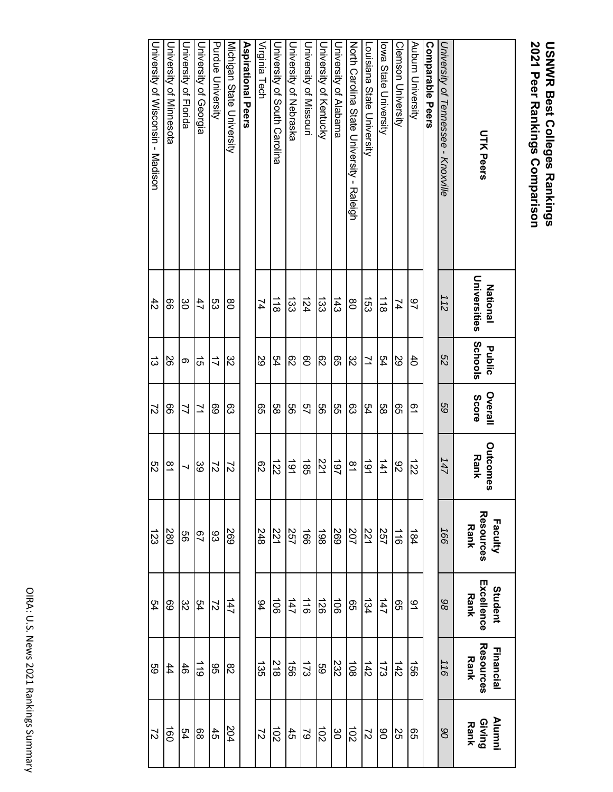# **USNWR Best Colleges Rankings<br>2021 Peer Rankings Comparison 2021 Peer Rankings Comparison USNWR Best Colleges Rankings**

| <b>UTK Peers</b>                          | Universities<br><b>National</b> | Schools<br>Public | Overall<br>Score | <b>Outcomes</b><br><b>Rank</b> | Faculty<br>Resources<br><b>Rank</b> | <b>Student</b><br>Excellence<br><b>Rank</b> | Resources<br><b>Financial</b><br><b>Rank</b> | <b>Giving</b><br>Rank<br><b>Alumni</b> |
|-------------------------------------------|---------------------------------|-------------------|------------------|--------------------------------|-------------------------------------|---------------------------------------------|----------------------------------------------|----------------------------------------|
| University of Tennessee -<br>Knoxville    | 112                             | S2                | 89               | 147                            | 166                                 | 86                                          | 116                                          | 06                                     |
| <b>Comparable Peers</b>                   |                                 |                   |                  |                                |                                     |                                             |                                              |                                        |
| Auburn University                         | 97                              | $\ddot{d}$        | 51               | 122                            | 184                                 | $\overline{6}$                              | $\overline{56}$                              | 99                                     |
| Clemson University                        | 74                              | 29                | 95               | 82                             | $\frac{1}{9}$                       | 95                                          | 142                                          | SS.                                    |
| lowa State University                     | $\frac{1}{8}$                   | 54                | 88               | 141                            | 257                                 | 147                                         | 173                                          | 80                                     |
| <b>Locisiana State University</b>         | $\overline{53}$                 | $\geq$            | 54               | 161                            | 221                                 | 134                                         | 142                                          | $\mathcal{L}$                          |
| North Carolina State Chiversity - Raleigh | $\frac{8}{2}$                   | 32                | 83               | $\frac{8}{1}$                  | 207                                 | 95                                          | $\frac{108}{10}$                             | $\overline{5}$                         |
| University of Alabama                     | 143                             | ςg                | 95               | 197                            | 592                                 | $\overrightarrow{5}$                        | 232                                          | ဗွ                                     |
| Duiversity of Kentucky                    | $\overline{33}$                 | 82                | 99               | 221                            | 198                                 | $\overrightarrow{26}$                       | 69                                           | $\overrightarrow{0}$                   |
| University of Missouri                    | 124                             | 80                | 57               | $\frac{1}{85}$                 | $\overrightarrow{90}$               | $\frac{1}{10}$                              | 173                                          | $\mathcal{S}$                          |
| <b>Duiversity of Nebraska</b>             | 133                             | 82                | 99               | 161                            | 257                                 | 147                                         | $\overrightarrow{50}$                        | 45                                     |
| University of South Carolina              | $\frac{1}{8}$                   | 54                | 88               | $\overrightarrow{22}$          | 221                                 | $\vec{5}$                                   | $\frac{218}{2}$                              | $\overrightarrow{0}$                   |
| Virginia Tech                             | 74                              | 29                | ၛၟ               | 82                             | 248                                 | 94                                          | 135                                          | $\overline{z}$                         |
| Aspirational Peers                        |                                 |                   |                  |                                |                                     |                                             |                                              |                                        |
| Micrigan State Diversity                  | 80                              | 32                | ద్రి             | 22                             | 569                                 | 147                                         | $\rm{g}$                                     | 204                                    |
| Purdue University                         | ςg                              | $\vec{\iota}$     | 69               | $\mathcal{L}$                  | 83                                  | $\overline{2}$                              | 95                                           | $\ddot{5}$                             |
| University of Georgia                     | 47                              | ದ                 | 71               | 39                             | 97                                  | 54                                          | $\frac{1}{10}$                               | 88                                     |
| University of Florida                     | 80                              | ග                 | 71               |                                | 99                                  | 82                                          | $\frac{4}{6}$                                | R4                                     |
| Duiversity of Minnesota                   | 99                              | 92                | 99               | $\frac{8}{1}$                  | 280                                 | 69                                          | $\ddot{4}$                                   | $\frac{1}{90}$                         |
| University of Wisconsin - Madison         | $\ddot{4}$                      | ದ                 | $\overline{c}$   | S2                             | 123                                 | 54                                          | 89                                           | $\overline{c}$                         |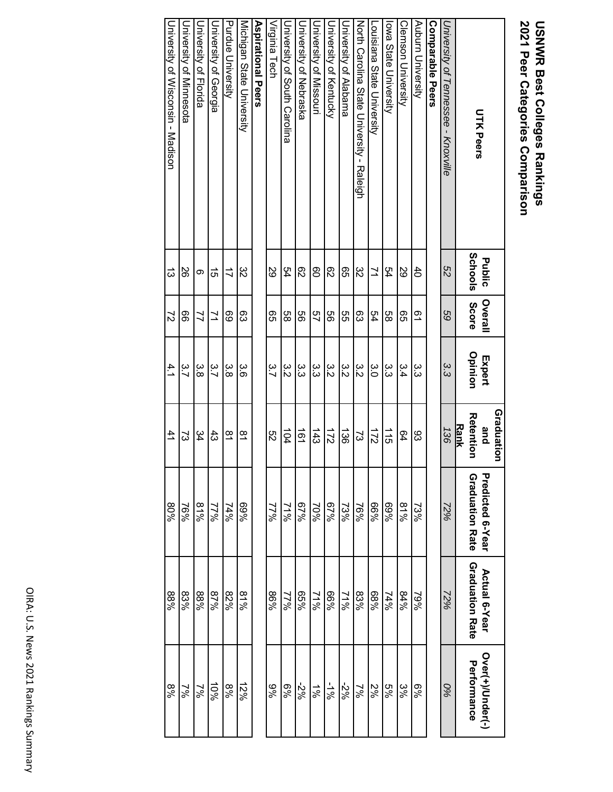# **USNWR Best Colleges Rankings<br>2021 Peer Categories Comparison 2021 Peer Categories Comparison USNWR Best Colleges Rankings**

**Graduation** 

**Graduation** 

| <b>UTK Peers</b>                          | Public     | <b>Overall</b> | Expert   | and                             | Predicted 6-Year       | Actual 6-Year          | Over(+)/Under(-) |
|-------------------------------------------|------------|----------------|----------|---------------------------------|------------------------|------------------------|------------------|
|                                           | Schools    | <b>Score</b>   | Opinion  | <b>Reterrior</b><br><b>Rank</b> | <b>Graduation Rate</b> | <b>Graduation Rate</b> | Performance      |
| University of Tennessee - X10xville       | S2         | 69             | 33<br>S  | 136                             | 72%                    | 72%                    | 0%               |
| Comparable Peers                          |            |                |          |                                 |                        |                        |                  |
| Auburn University                         | $\ddot{4}$ | 21             | ده<br>دن | 83                              | 73%                    | 79%                    | %6               |
| <b>Clemson University</b>                 | 82         | 99             | 3.4      | Q4                              | 81%                    | 84%                    | ೫                |
| lowa State University                     | 54         | 88             | دە<br>دى | $\frac{1}{5}$                   | %69                    | 74%                    | 5%               |
| Louisiana State University                | ュ          | 54             | ς<br>Ο   | 172                             | %99                    | %89                    | 2%               |
| North Carolina State University - Raleigh | 82         | တ္လ            | ς<br>Μ   | ವ                               | $76\%$                 | 83%                    | $\frac{2}{6}$    |
| University of Alabama                     | 99         | 95             | ς<br>Μ   | $\overrightarrow{36}$           | 73%                    | 21%                    | %ट-              |
| <b>University of Kentrucky</b>            | ని         | 99             | ς<br>Μ   | $\overline{21}$                 | 67%                    | %99                    | $-1\%$           |
| Durversity of Missouri                    | 80         | 57             | ده<br>دن | $\frac{143}{2}$                 | 70%                    | 21%                    | $\frac{5}{6}$    |
| Chiversity of Nepraska                    | ద్ర        | 99             | ده<br>دن | $\frac{1}{9}$                   | 67%                    | %99                    | %2-              |
| Chiverality of South Carolina             | 54         | 88             | ς<br>Μ   | 104                             | 2000                   | 9622                   | %9               |
| Virginia Tech                             | 89         | 95             | 3.7      | S2                              | 70%                    | %98                    | %6               |
| <b>Aspirational Pers</b>                  |            |                |          |                                 |                        |                        |                  |
| Micrigan State University                 | ξŠ         | 83             | ပ္ပ်     | $\vec{z}$                       | %69                    | 81%                    | 12%              |
| <b>Purdue University</b>                  | ゴ          | 69             | ပ္ပ<br>ထ | $\overline{6}$                  | $74\%$                 | 82%                    | %8               |
| University of Georgia                     | ಕ          | ュ              | ς<br>7.  | దే                              | $17\%$                 | %28                    | 10%              |
| University of Florida                     | $\infty$   | $\mathcal{I}$  | ယ<br>ထ   | 34                              | 81%                    | 88%                    | 2%               |
| University of Minnesota                   | 26         | 99             | ς.       | 2                               | $-69$                  | 83%                    | $\frac{2}{3}$    |

University of Wisconsin - Madison

University of Wisconsin - Madison

13

72

4.1

 $\ddot{4}$ 

80%

88%

8%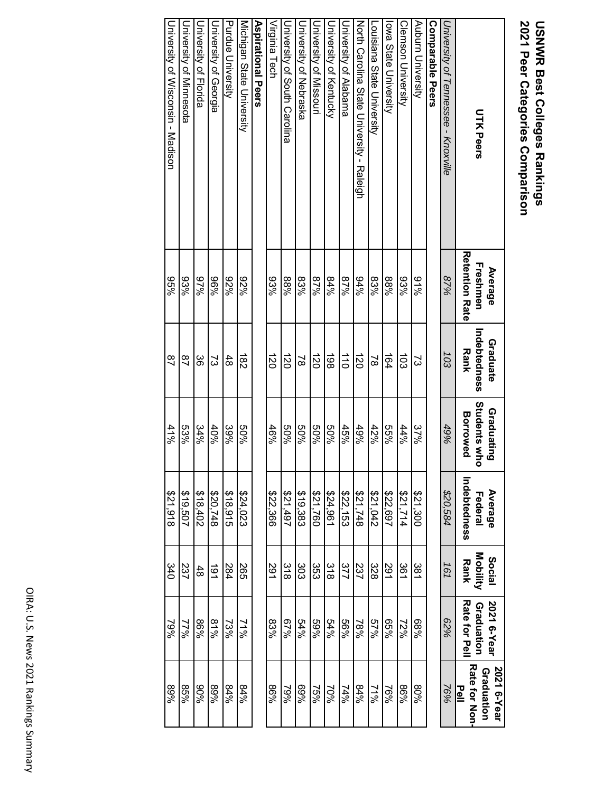# 2021 Peer Categories Comparison **USNWR Best Colleges Rankings 2021 Peer Categories Comparison USNWR Best Colleges Rankings**

| <b>UTK Peers</b>                          | <b>Retention Rate</b><br>Freshmen<br>Average | Indebtedness<br>Graduate<br><b>Rank</b> | <b>Students who</b><br>Graduating<br><b>Borrowed</b> | Indebtedness<br>Average<br>Federal | Mobility<br><b>Social</b><br><b>Rank</b> | Rate for Pell<br>2021 6-Year<br>Graduation | <b>Rate for Non</b><br>Graduation<br>2021 6-Year<br>Pell |
|-------------------------------------------|----------------------------------------------|-----------------------------------------|------------------------------------------------------|------------------------------------|------------------------------------------|--------------------------------------------|----------------------------------------------------------|
| University of Tennesse - Knoxville        | 87%                                          | 103                                     | 49%                                                  | \$20,584                           | 161                                      | 82%                                        | 76%                                                      |
| <b>Comparable Peers</b>                   |                                              |                                         |                                                      |                                    |                                          |                                            |                                                          |
| Auburn University                         | 81%                                          | ವ                                       | 37%                                                  | 008'123                            | 381                                      | %89                                        | 9608                                                     |
| <b>Clemson University</b>                 | 93%                                          | ಪ                                       | 44%                                                  | 47.714                             | 361                                      | 72%                                        | %98                                                      |
| lowa State University                     | %88                                          | $\frac{164}{1}$                         | 9699                                                 | \$22,697                           | 291                                      | %99                                        | 76%                                                      |
| Louisiana State University                | 83%                                          | $\approx$                               | 42%                                                  | \$21,042                           | 328                                      | 57%                                        | 21%                                                      |
| North Carolina State Chiversity - Raleigh | %76                                          | $\vec{8}$                               | 49%                                                  | \$21,748                           | 237                                      | 78%                                        | %78                                                      |
| University of Alabama                     | %28                                          | $\overrightarrow{0}$                    | 45%                                                  | \$22,153                           | 377                                      | 9699                                       | 74%                                                      |
| <b>University of Kentucky</b>             | %78                                          | $\overline{36}$                         | %0S                                                  | \$24,961                           | $\frac{8}{21}$                           | 54%                                        | 70%                                                      |
| University of Missouri                    | %28                                          | $\vec{z}$                               | %09                                                  | \$21,760                           | င္မာ                                     | 9669                                       | 75%                                                      |
| Duiversity of Nepraska                    | 83%                                          | $\approx$                               | %0S                                                  | \$19,383                           | 303                                      | 54%                                        | %69                                                      |
| University of Socith Carolina             | %88                                          | $\vec{8}$                               | %09                                                  | 164,1997                           | $\frac{8}{21}$                           | 67%                                        | 79%                                                      |
| Virginia Tech                             | 93%                                          | $\vec{z}$                               | 46%                                                  | \$22,366                           | 291                                      | 83%                                        | %98                                                      |
| Aspirational Peers                        |                                              |                                         |                                                      |                                    |                                          |                                            |                                                          |
| Michigan State University                 | %76                                          | $\vec{8}$                               | %0S                                                  | \$24,023                           | 265                                      | 21%                                        | %+8                                                      |
| <b>Purdue University</b>                  | %Z6                                          | 48                                      | 39%                                                  | \$18,915                           | 284                                      | 73%                                        | %78                                                      |
| University of Georgia                     | %96                                          | ς                                       | 40%                                                  | \$20,748                           | $\vec{6}$                                | 81%                                        | %68                                                      |
| <b>Duriversity of Horida</b>              | %26                                          | ပ္တ                                     | 34%                                                  | 2078,402                           | 48                                       | %98                                        | %06                                                      |
| University of Minnesota                   | 93%                                          | $\overline{a}$                          | 53%                                                  | \$19,507                           | 237                                      | 77%                                        | %98                                                      |

University of Wisconsin - Madison

University of Wisconsin - Madison

95%

87

41%

\$21,918

340

79%

89%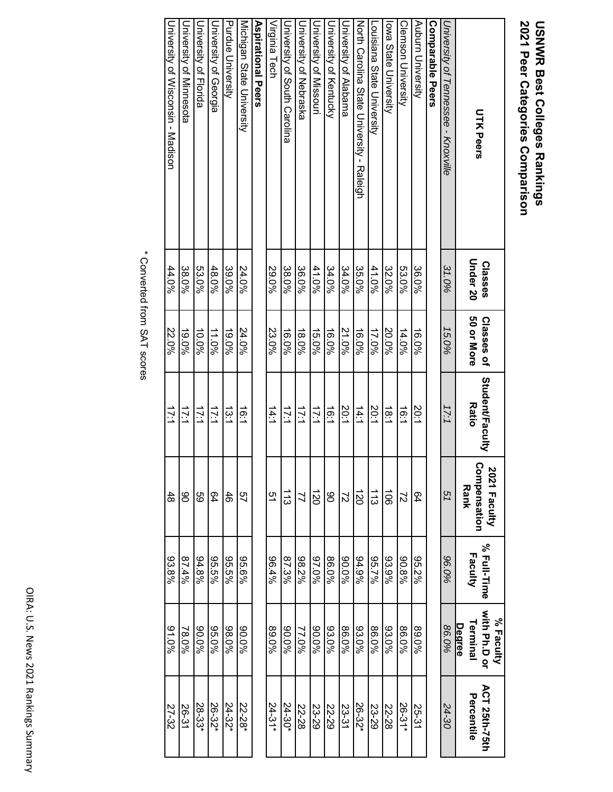# **USNWR Best Colleges Rankings<br>2021 Peer Categories Comparison 2021 Peer Categories Comparison USNWR Best Colleges Rankings**

| <b>UTK Peers</b>                          | Under 20<br><b>Classes</b> | 50 or More<br>Classes of | <b>Student/Faculty</b><br><b>Ratio</b> | Compensation<br>2021 Faculty<br><b>Rank</b> | % Full-Time<br>Faculty | <b>Nith Ph.D or</b><br>% Faculty<br>Terminal<br>Degree | <b>ACT 25th-75th</b><br>Percentile |
|-------------------------------------------|----------------------------|--------------------------|----------------------------------------|---------------------------------------------|------------------------|--------------------------------------------------------|------------------------------------|
| University of Tennessee - Knoxville       | 31.0%                      | 15.0%                    | 17:1                                   | 51                                          | 96.0%                  | 86.0%                                                  | 24-30                              |
| Comparable Peers                          |                            |                          |                                        |                                             |                        |                                                        |                                    |
| Auburn University                         | 36.0%                      | 16.0%                    | 20:1                                   | 64                                          | 95.2%                  | 89.0%                                                  | 25-31                              |
| <b>Clemson University</b>                 | 53.0%                      | 14.0%                    | $\frac{1}{6}$                          | $\overline{z}$                              | 90.8%                  | 86.0%                                                  | 26-31*                             |
| lowa State University                     | 32.0%                      | 20.0%                    | 18.1                                   | $\vec{5}$                                   | 93.9%                  | 93.0%                                                  | 22-28                              |
| Louisiana State University                | 41.0%                      | 17.0%                    | 20:1                                   | $\frac{1}{3}$                               | 967.7%                 | 86.0%                                                  | 23-29                              |
| North Carolina State Chiversity - Raleigh | 35.0%                      | 16.0%                    | 14.1                                   | $\vec{50}$                                  | 94.9%                  | 93.0%                                                  | 26-32                              |
| University of Alabama                     | 34.0%                      | 21.0%                    | 20:1                                   | $\overline{z}$                              | 960.06                 | 86.0%                                                  | 23-31                              |
| Cniveraity of Kentrucky                   | 34.0%                      | 16.0%                    | $\frac{1}{6}$                          | 8                                           | 86.0%                  | 93.0%                                                  | 22-29                              |
| <b>University of Missorri</b>             | 41.0%                      | 15.0%                    | 17:1                                   | $\vec{50}$                                  | 960.76                 | 90.0%                                                  | 23-29                              |
| <b>University of Nepraska</b>             | 36.0%                      | 18.0%                    | 17:1                                   | $\overline{2}$                              | 98.2%                  | 77.0%                                                  | 22-28                              |
| University of South Carolina              | 38.0%                      | 16.0%                    | 17:1                                   | $\frac{1}{3}$                               | 87.3%                  | 960.08                                                 | 24-30*                             |
| Virginia Tech                             | 29.0%                      | 23.0%                    | 14:1                                   | 51                                          | 96.4%                  | 89.0%                                                  | $24 - 31*$                         |
| Aspirational Peers                        |                            |                          |                                        |                                             |                        |                                                        |                                    |
| Michigan State University                 | 24.0%                      | 24.0%                    | 16:1                                   | 49                                          | 96.6%                  | 90.0%                                                  | 22-28*                             |
| <b>Purdue University</b>                  | 39.0%                      | 19.0%                    | 13.1                                   | 46                                          | 95.5%                  | 98.0%                                                  | 24-32*                             |
| University of Georgia                     | 48.0%                      | 11.0%                    | 17:1                                   | 64                                          | 965.5%                 | 95.0%                                                  | 26-32*                             |
| Driversity of Horida                      | 53.0%                      | 10.0%                    | 17:1                                   | 99                                          | 94.8%                  | 960.08                                                 | 28-33*                             |
| University of Minnesota                   | 38.0%                      | 19.0%                    | 17:1                                   | 80                                          | 87.4%                  | 78.0%                                                  | 26-31                              |

\* Converted from SAT scores \* Converted from SAT scores

44.0%

22.0%

17:1

48

93.8%

91.0%

27-32

University of Wisconsin - Madison

University of Wisconsin - Madison

OIRA: U.S. News 2021 Rankings Summary OIRA: U.S. News 2021 Rankings Summary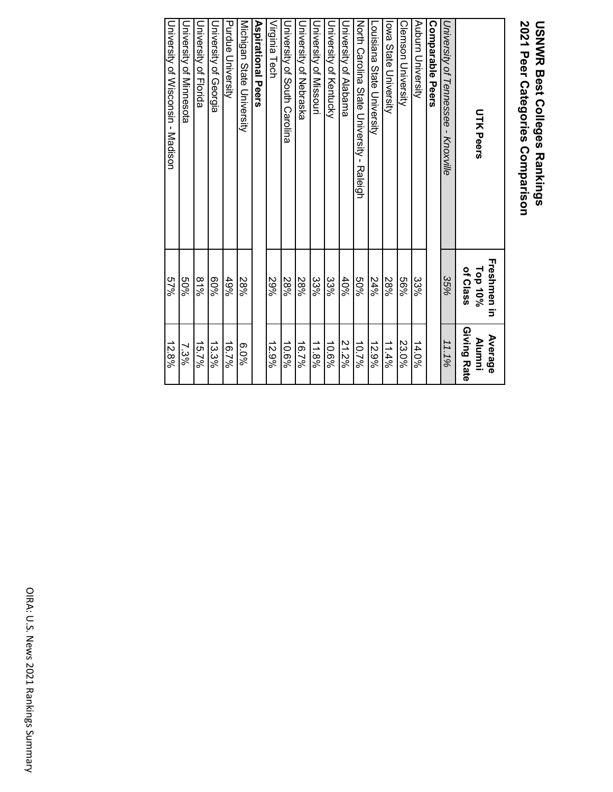# **USNWR Best Colleges Rankings<br>2021 Peer Categories Comparison 2021 Peer Categories Comparison USNWR Best Colleges Rankings**

| <b>UTK Peers</b>                          | <b>Freshmen in</b><br>of Class<br>Top 10% | Giving Rate<br>Average<br><b>Alumni</b> |
|-------------------------------------------|-------------------------------------------|-----------------------------------------|
| University of Tennessee - Knoxville       | 35%                                       | 11.1%                                   |
| <b>Comparable Peers</b>                   |                                           |                                         |
| Auburn University                         | 33%                                       | 14.0%                                   |
| <b>Clemson University</b>                 | %99                                       | 23.0%                                   |
| lowa State University                     | 28%                                       | 11.4%                                   |
| Louisiana State University                | 24%                                       | 12.9%                                   |
| North Carolina State Chiversity - Raleigh | %0S                                       | 10.7%                                   |
| University of Alabama                     | 40%                                       | 21.2%                                   |
| Duiversity of Kentucky                    | 33%                                       | 10.6%                                   |
| University of Missouri                    | 33%                                       | 11.8%                                   |
| Driversity of Nepraska                    | 28%                                       | 16.7%                                   |
| University of South Carolina              | 28%                                       | 10.6%                                   |
| Virginia Tech                             | 29%                                       | 12.9%                                   |
| Aspirational Peers                        |                                           |                                         |
| Michigan State University                 | 28%                                       | %0'9                                    |
| Purdue University                         | 49%                                       | 16.7%                                   |
| University of Georgia                     | %09                                       | 13.3%                                   |
| University of Florida                     | 81%                                       | 15.7%                                   |
| <b>University of Minnesota</b>            | %0S                                       | 7.3%                                    |
| University of Misconsin - Madison         | %29                                       | 12.8%                                   |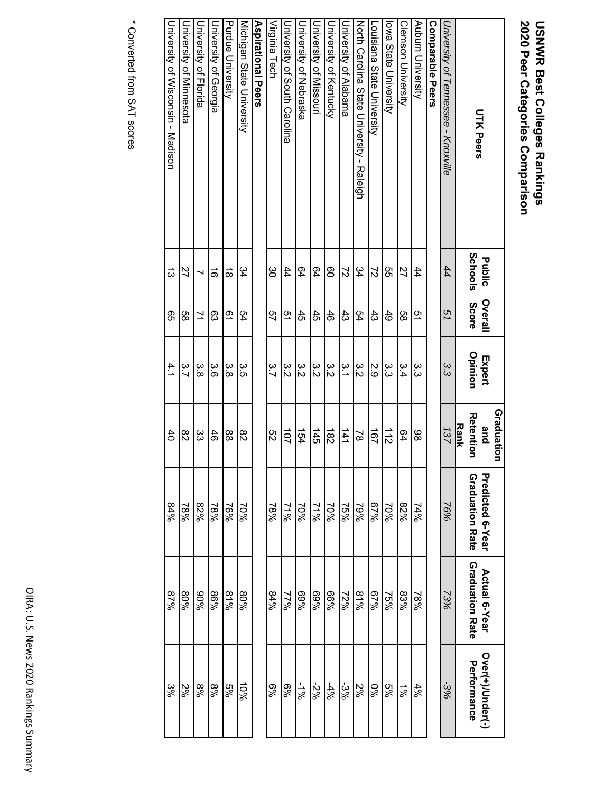# USNWR Best Colleges Rankings<br>2020 Peer Categories Comparison **2020 Peer Categories Comparison USNWR Best Colleges Rankings**

|                                           |                   |                      |                   | Graduation                             |                                            |                                         |                                 |
|-------------------------------------------|-------------------|----------------------|-------------------|----------------------------------------|--------------------------------------------|-----------------------------------------|---------------------------------|
| <b>UTK Peers</b>                          | Schools<br>Public | Overall<br>Score     | Opinion<br>Expert | <b>Retention</b><br><b>Rank</b><br>and | Predicted 6-Year<br><b>Graduation Rate</b> | <b>Graduation Rate</b><br>Actual 6-Year | Over(+)/Under(-)<br>Performance |
| University of Tennessee - Knoxville       | 44                | 51                   | 33<br>3           | 137                                    | 76%                                        | 73%                                     | $-3%$                           |
| Comparable Peers                          |                   |                      |                   |                                        |                                            |                                         |                                 |
| Auburn University                         | 44                | 51                   | ပ<br>ပ            | 86                                     | $74\%$                                     | $18\%$                                  | 4%                              |
| <b>Clemson Driversity</b>                 | 22                | 9g                   | 3.4               | 64                                     | %78                                        | 83%                                     | $\frac{1}{6}$                   |
| lowe State University                     | SS                | 49                   | ده<br>دن          | $\frac{1}{2}$                          | 70%                                        | 75%                                     | 5%                              |
| Louisiana State University                | $\overline{c}$    | 43                   | 2.9               | 191                                    | 67%                                        | 67%                                     | $\%0$                           |
| North Carolina State Chiversity - Raleigh | 34                | 54                   | 3<br>Σ            | $\approx$                              | 79%                                        | 8196                                    | 2%                              |
| University of Alabama                     | $\overline{c}$    | $\ddot{3}$           | ن<br>د            | $\frac{141}{1}$                        | 75%                                        | 72%                                     | $-3%$                           |
| University of Kentucky                    | 80                | 46                   | 3.<br>Σ           | $\frac{182}{5}$                        | 70%                                        | %99                                     | $4\%$                           |
| Duiversity of Missouri                    | 64                | 45                   | 3<br>Σ            | 145                                    | 21%                                        | %69                                     | %2-                             |
| University of Nebraska                    | 64                | 45                   | ε<br>Σ            | 154                                    | 70%                                        | %69                                     | $-1\%$                          |
| Coiversity of South Carolina              | 44                | 51                   | ε<br>Σ            | 101                                    | 29/26                                      | 77%                                     | %9                              |
| Virginia Tech                             | ပ္ပ               | 57                   | 3.7               | S2                                     | 78%                                        | 84%                                     | $\frac{6}{6}$                   |
| <b>Aspirational Peers</b>                 |                   |                      |                   |                                        |                                            |                                         |                                 |
| Michigan State University                 | 34                | 54                   | 3.<br>S           | 82                                     | 70%                                        | 9608                                    | 58                              |
| Purdue University                         | $\vec{\infty}$    | $\tilde{\mathbf{S}}$ | ပ္ပဲ              | 88                                     | 16%                                        | 81%                                     | 5%                              |
| University of Georgia                     | $\vec{e}$         | 83                   | ပ်<br>(၁          | 46                                     | 78%                                        | %98                                     | %8                              |
| <b>Driversity of Florida</b>              |                   | ュ                    | ပ္ပ<br>ထ          | ŝ                                      | 82%                                        | %06                                     | %8                              |
| <b>University of Minnesota</b>            | 27                | 88                   | 3.7               | 82                                     | 78%                                        | 80%                                     | 2%                              |
| University of Wisconsity - Madison        | ದ                 | 95                   | 4.1               | $\overline{40}$                        | 84%                                        | 87%                                     | ಜ್ಞ                             |

\* Converted from SAT scores \* Converted from SAT scores

University of Wisconsin - Madison

13

4.1

84%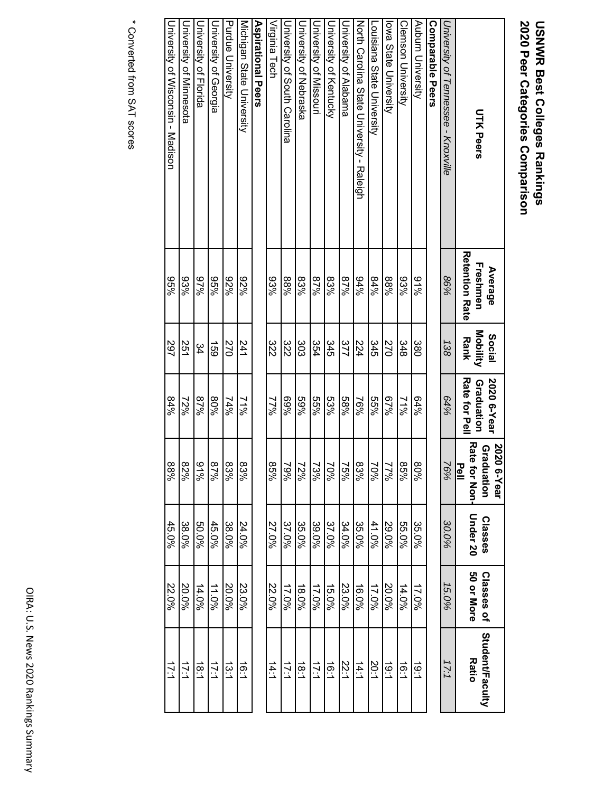# 2020 Peer Categories Comparison **USNWR Best Colleges Rankings 2020 Peer Categories Comparison USNWR Best Colleges Rankings**

| <b>UTK Peers</b>                          | <b>Retention Rate</b><br>Freshmen<br>Average | Mobility<br><b>Social</b><br><b>Rank</b> | <b>Rate tor Pell</b><br>2020 6-Year<br>Graduation | Rate<br>2020<br>Grac<br>Pell<br>for Non<br>duation<br>6-Year | Under 20<br><b>Classes</b> | 50 or More<br>Classes of | <b>Student/Faculty</b><br><b>Ratio</b> |
|-------------------------------------------|----------------------------------------------|------------------------------------------|---------------------------------------------------|--------------------------------------------------------------|----------------------------|--------------------------|----------------------------------------|
| University of Tennessee - Knoxville       | 86%                                          | 138                                      | 64%                                               | 76%                                                          | 30.0%                      | 15.0%                    | 17:1                                   |
| Comparable Peers                          |                                              |                                          |                                                   |                                                              |                            |                          |                                        |
| Auburn University                         | %16                                          | 380                                      | 64%                                               | 80%                                                          | 35.0%                      | 17.0%                    | 10.1                                   |
| Clemson University                        | 93%                                          | 348                                      | 21%                                               | 85%                                                          | 55.0%                      | 14.0%                    | 1ë.1                                   |
| owa State University                      | %88                                          | 270                                      | 67%                                               | 77%                                                          | 29.0%                      | 20.0%                    | $\frac{1}{9}$                          |
| Louisiana State University                | 84%                                          | 345                                      | 9699                                              | 70%                                                          | 41.0%                      | 17.0%                    | <b>20:1</b>                            |
| North Carolina State Chiversity - Raleigh | 94%                                          | 524                                      | 76%                                               | 83%                                                          | 35.0%                      | 16.0%                    | 14:1                                   |
| University of Alabama                     | %28                                          | 377                                      | 9689                                              | 75%                                                          | 34.0%                      | 23.0%                    | <b>22.1</b>                            |
| <b>University of Kentucky</b>             | 83%                                          | 345                                      | 53%                                               | 70%                                                          | 37.0%                      | 15.0%                    | 1.6:1                                  |
| University of Missouri                    | %28                                          | 354                                      | 9699                                              | 73%                                                          | 39.0%                      | 17.0%                    | 17.1                                   |
| Chiversity of Nepraska                    | 83%                                          | 303                                      | 9669                                              | 72%                                                          | 35.0%                      | $18.0\%$                 | $\frac{1}{8.1}$                        |
| University of South Carolina              | %88                                          | 322                                      | %69                                               | 79%                                                          | 37.0%                      | 17.0%                    | 17:1                                   |
| Virginia Tech                             | 93%                                          | 322                                      | 77%                                               | 85%                                                          | 27.0%                      | 22.0%                    | 14.1                                   |
| <b>Aspirational Peers</b>                 |                                              |                                          |                                                   |                                                              |                            |                          |                                        |
| Michigan State University                 | %Z6                                          | 241                                      | 21%                                               | 83%                                                          | 24.0%                      | 23.0%                    | 16:1                                   |
| <b>Purdue University</b>                  | %Z6                                          | 270                                      | 74%                                               | 83%                                                          | 38.0%                      | 20.0%                    | $\frac{1}{2}$                          |
| University of Georgia                     | %96                                          | $\overline{59}$                          | 80%                                               | %28                                                          | 45.0%                      | 11.0%                    | 17:1                                   |
| <b>University of Horida</b>               | 67%                                          | \$                                       | %28                                               | 94 %                                                         | 50.0%                      | 14.0%                    | 18.1                                   |
| University of Minnesota                   | 93%                                          | 251                                      | 12%                                               | %78                                                          | 38.0%                      | 20.0%                    | 17:1                                   |

\* Converted from SAT scores \* Converted from SAT scores

University of Wisconsin - Madison

University of Wisconsin - Madison

95%

297

84%

88%

45.0%

22.0%

17:1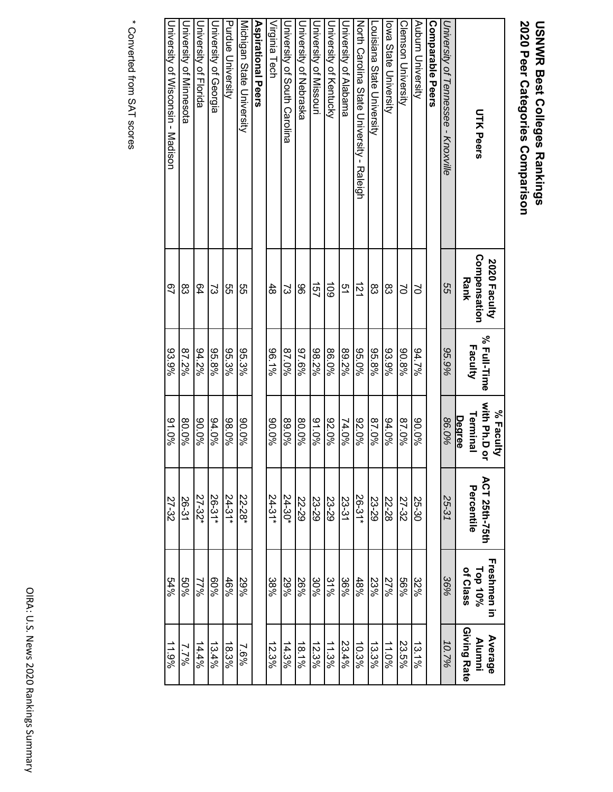# USNWR Best Colleges Rankings<br>2020 Peer Categories Comparison **2020 Peer Categories Comparison USNWR Best Colleges Rankings**

| <b>UTK Peers</b>                          | Compensation<br>2020 Faculty<br><b>Rank</b> | % Full-Time<br>Faculty | <b>Nith Ph.Dor</b><br>% Faculty<br>Terminal<br>Degree | <b>ACT 25th-75th</b><br>Percentile | Freshmen in<br>of Class<br>$\mathsf{Top}$ 10% | Giving Rate<br>Average<br>Alumni |
|-------------------------------------------|---------------------------------------------|------------------------|-------------------------------------------------------|------------------------------------|-----------------------------------------------|----------------------------------|
| University of Tennessee - K10xville       | 95                                          | 95.9%                  | 86.0%                                                 | 25-31                              | 36%                                           | 10.7%                            |
| Comparable Peers                          |                                             |                        |                                                       |                                    |                                               |                                  |
| Auburn University                         | S                                           | 94.7%                  | 90.0%                                                 | 25-30                              | 32%                                           | 13.1%                            |
| <b>Clemson University</b>                 | $\geq$                                      | 90.8%                  | 87.0%                                                 | 27-32                              | %99                                           | 23.5%                            |
| lowa State University                     | 83                                          | 93.9%                  | 94.0%                                                 | 22-28                              | 27%                                           | 11.0%                            |
| Louisiana State University                | 83                                          | 95.8%                  | 87.0%                                                 | 23-29                              | 23%                                           | 13.3%                            |
| North Carolina State Chiversity - Raleigh | $\overrightarrow{21}$                       | 95.0%                  | 92.0%                                                 | 26-31*                             | 48%                                           | 10.3%                            |
| University of Alabama                     | 51                                          | 89.2%                  | 74.0%                                                 | 23-31                              | 36%                                           | 23.4%                            |
| <b>University of Kentucky</b>             | $\overline{5}$                              | 86.0%                  | 92.0%                                                 | 23-29                              | 31%                                           | 11.3%                            |
| University of Missouri                    | 157                                         | 98.2%                  | 94.0%                                                 | 23-29                              | 30%                                           | 12.3%                            |
| University of Nebraska                    | 96                                          | 97.6%                  | 80.0%                                                 | 22-29                              | 26%                                           | 18.1%                            |
| Duiversity of South Carolina              | 2                                           | %0.78                  | 89.0%                                                 | $24 - 30*$                         | 29%                                           | 14.3%                            |
| Virginia Tech                             | 48                                          | $96.1\%$               | 960.0%                                                | $24-31*$                           | 38%                                           | 12.3%                            |
| <b>Aspirational Peers</b>                 |                                             |                        |                                                       |                                    |                                               |                                  |
| Micrigan State Driversity                 | 9g                                          | 95.3%                  | 90.0%                                                 | 22-28                              | 29%                                           | 7.6%                             |
| Purdue University                         | ლ<br>თ                                      | 95.3%                  | 98.0%                                                 | $24 - 31*$                         | 46%                                           | 18.3%                            |
| University of Georgia                     | ವ                                           | 95.8%                  | 94.0%                                                 | $26-31*$                           | 960%                                          | 13.4%                            |
| <b>University of Florida</b>              | 64                                          | 94.2%                  | 90.0%                                                 | 27-32*                             | 77%                                           | 14.4%                            |
| <b>University of Minnesota</b>            | ထိ                                          | 87.2%                  | 80.0%                                                 | 26-31                              | 9609                                          | 7.7%                             |
| University of Wisconsin - Madison         | 97                                          | 93.9%                  | 91.0%                                                 | 27-32                              | 54%                                           | 11.9%                            |

\* Converted from SAT scores \* Converted from SAT scores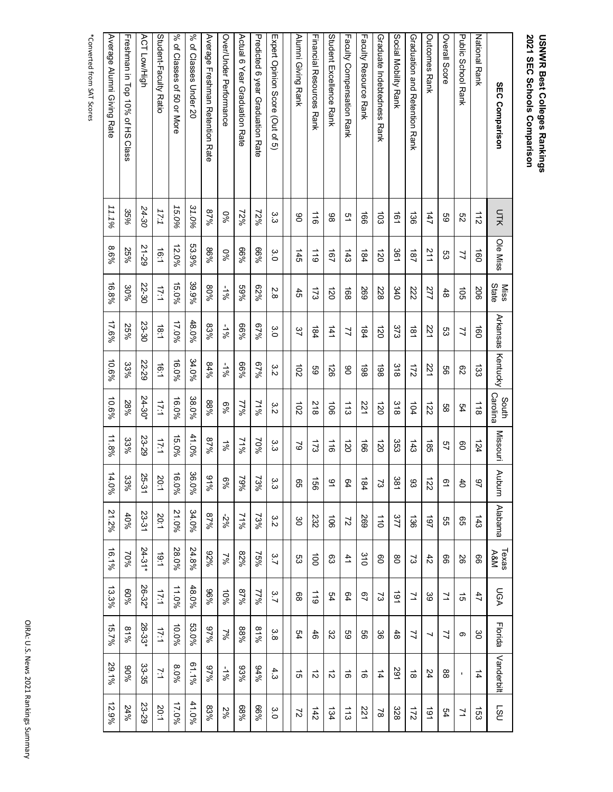# USNWR Best Colleges Rankings<br>2021 SEC Schools Comparison **2021 SEC Schools Comparison USNWR Best Colleges Rankings**

| <b>SEC Comparison</b>            | UTK                   | Ole Miss         | <b>Miss</b>      | Arkansas              | <b>Kentucky</b>      | South                     | Missouri        | Auburn                | <b>Alabama</b>        | Texas<br>A&M    | UGA            | Florida       | Vanderbilt           | <b>NST</b>     |
|----------------------------------|-----------------------|------------------|------------------|-----------------------|----------------------|---------------------------|-----------------|-----------------------|-----------------------|-----------------|----------------|---------------|----------------------|----------------|
| <b>National Rank</b>             | $\frac{1}{2}$         | $\overline{160}$ | State<br>206     | $\overline{160}$      | $\overline{33}$      | Carolina<br>$\frac{1}{8}$ | 124             | $\overline{6}$        | 143                   | 99              | 47             | မွ            | $\overrightarrow{4}$ | 153            |
| Public School Rank               | 8S                    | 7                | $\overline{5}$   | 77                    | 82                   | 54                        | 80              | 40                    | ვ                     | 8               | $\vec{5}$      | တ             | $\blacksquare$       | 71             |
| Overall Score                    | 69                    | S3               | 48               | င္ပာ                  | 9g                   | 89                        | 57              | $\overline{6}$        | SS                    | 99              | $\geq$         | 71            | 88                   | 54             |
| <b>Outcomes Rank</b>             | 147                   | 211              | 277              | 221                   | 221                  | $\overline{z}$            | 185             | $\overrightarrow{22}$ | $\overline{261}$      | $\ddot{4}$      | ్టు            | ┙             | 24                   | 161            |
| Graduation and Referation Rank   | $\overrightarrow{36}$ | 181              | 222              | $\frac{181}{18}$      | $\frac{1}{2}$        | 104                       | $\frac{143}{5}$ | 83                    | 136                   | S,              | ュ              | 71            | $\vec{\infty}$       | 211            |
| Social Mobility Rank             | $\overline{161}$      | 361              | 340              | 373                   | $\frac{318}{2}$      | $\frac{318}{2}$           | 353             | 381                   | 377                   | g               | 161            | $\frac{4}{8}$ | 291                  | 328            |
| Graduate Indebtedness Rank       | $\overline{5}$        | $\vec{c}$        | 228              | $\overrightarrow{20}$ | 861                  | 120                       | $\overline{0}$  | 2                     | $\overrightarrow{01}$ | 8               | 2              | မ္တ           | $\overrightarrow{4}$ | $\approx$      |
| <b>Faculty Resorree Rank</b>     | $\overline{99}$       | $\frac{184}{18}$ | 569              | 184                   | 361                  | 221                       | $\overline{5}$  | 184                   | 697                   | 310             | 29             | 8             | $\vec{0}$            | 221            |
| Faculty Compensation Rank        | 51                    | $\frac{143}{2}$  | $\frac{168}{10}$ | 77                    | g                    | $\frac{1}{3}$             | $\overline{20}$ | 64                    | $\overline{z}$        | $\overline{41}$ | 54             | 89            | $\vec{0}$            | $\frac{1}{3}$  |
| Student Excellence Rank          | 88                    | 191              | 120              | $\frac{141}{1}$       | 126                  | $\overrightarrow{90}$     | $\frac{1}{9}$   | $\overline{6}$        | $\overline{5}$        | සි              | ይታ             | $\approx$     | $\vec{v}$            | 134            |
| Tinancial Resorrices Rank        | $\frac{1}{10}$        | $\frac{1}{10}$   | $\frac{1}{2}$    | 184                   | 89                   | 218                       | $\frac{1}{2}$   | 991                   | 232                   | $\vec{a}$       | $\frac{1}{10}$ | 46            | $\vec{v}$            | 142            |
| Alumni Giving Rank               | ၆                     | 145              | $\ddot{5}$       | 37                    | $\overrightarrow{c}$ | $\overrightarrow{0}$      | 2               | 95                    | မွ                    | ლ<br>ვ          | 8              | ይታ            | ದ                    | $\overline{z}$ |
|                                  |                       |                  |                  |                       |                      |                           |                 |                       |                       |                 |                |               |                      |                |
| Expert Opinion Score (Ort of 5)  | ین<br>ن               | őΩ               | 2.8              | ვ<br>Ο                | ω<br>.<br>N          | 3<br>Σ                    | ین<br>ن         | ς<br>ვ                | 3<br>Σ                | 3.7             | 3.7            | 3.<br>8       | 4.3                  | ς.ο            |
| Predicted o Year Oraduation Rate | 72%                   | %99              | 62%              | 67%                   | 67%                  | 71%                       | 70%             | 73%                   | 73%                   | 75%             | 17%            | 81%           | 94%                  | %99            |
| Actraic Aest Graduation Rate     | $72\%$                | 9690             | %69              | %99                   | %99                  | 77%                       | $71\%$          | $-29%$                | 71%                   | 82%             | %28            | %88           | 93%                  | %89            |
| Over/Under Performance           | 960                   | $\frac{80}{3}$   | -1%              | $-1\%$                | $-1\%$               | $\frac{6}{6}$             | $\frac{1}{6}$   | $\frac{69}{3}$        | %ट-                   | $\frac{2}{3}$   | $10\%$         | 7%            | $-1\%$               | 2%             |
| Average Freshman Retention Rate  | 87%                   | %98              | 80%              | 83%                   | 84%                  | %88                       | 87%             | 9/96                  | 87%                   | 9626            | %96            | %26           | 9626                 | 83%            |
| % of Classes Under 20            | 31.0%                 | 53.9%            | 39.9%            | 48.0%                 | 34.0%                | 38.0%                     | 41.0%           | 36.0%                 | 34.0%                 | 24.8%           | 48.0%          | 53.0%         | 61.1%                | 41.0%          |
| % of Classes of 50 or More       | 15.0%                 | 12.0%            | 15.0%            | 17.0%                 | 16.0%                | 16.0%                     | 15.0%           | ∸<br>6.0%             | 21.0%                 | 28.0%           | 11.0%          | 10.0%         | 8.0%                 | 17.0%          |
| Student-Faculty Ratio            | 17:1                  | 16.1             | 17:1             | 18.1                  | 16:1                 | 17:1                      | 17:1            | 20:1                  | 20:1                  | 1.61            | 17:1           | 17:1          | $\overline{11}$      | 20:1           |
| ACT Low/High                     | 24-30                 | 62-12            | 22-30            | 23-30                 | 22-29                | 24-30*                    | 23-29           | 25-31                 | 23-31                 | $24 - 31*$      | 26-32*         | 28-33*        | 33-35                | 23-29          |
| Freshman in Top 10% of HS Class  | 35%                   | 25%              | 30%              | 25%                   | 33%                  | 28%                       | 33%             | 33%                   | 40%                   | 70%             | 9609           | 81%           | 9606                 | 24%            |
| Average Alumni Giving Rate       | 11.1%                 | 8.6%             | 16.8%            | 17.6%                 | 10.6%                | 10.6%                     | 11.8%           | 14.0%                 | 21.2%                 | 16.1%           | 13.3%          | 15.7%         | 29.1%                | 12.9%          |

\*Converted from SAT Scores \*Converted from SAT Scores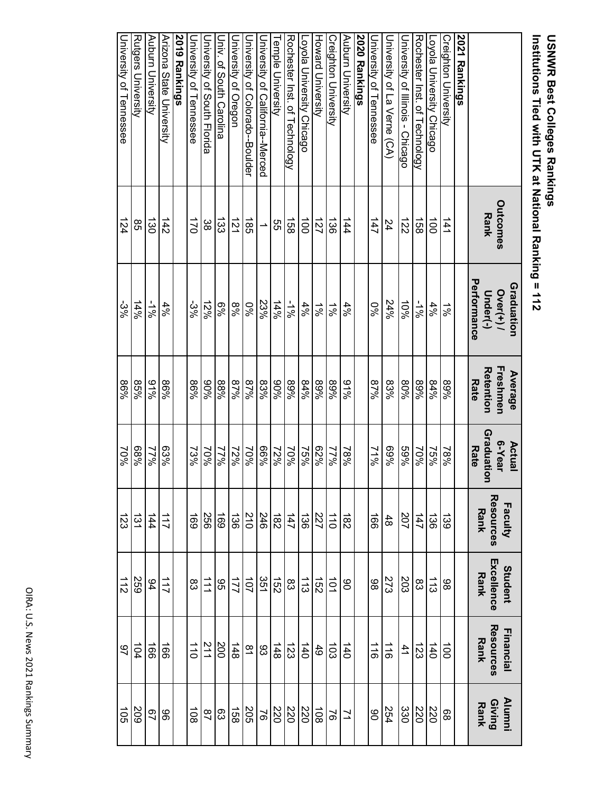# **USNWR Best Colleges Rankings<br>Institutions Tied with UTK at National Ranking = 112 Institutions Tied with UTK at National Ranking = 112 USNWR Best Colleges Rankings**

|                                  | <b>Outcomes</b><br><b>Rank</b> | Performance<br>Graduation<br>$O$ ver $(+)$ /<br>Under(-) | Freshmen<br>Retention<br>Average<br><b>Rate</b> | Graduatio<br>6-Year<br>Actual<br><b>Rate</b><br>∍ | Resources<br>Faculty<br>Rank | Excellence<br>Student<br>Rank | Resources<br>Financial<br>Rank | Giving<br>Rank<br><b>Alumni</b> |
|----------------------------------|--------------------------------|----------------------------------------------------------|-------------------------------------------------|---------------------------------------------------|------------------------------|-------------------------------|--------------------------------|---------------------------------|
| 2021 Rankings                    |                                |                                                          |                                                 |                                                   |                              |                               |                                |                                 |
| <b>Creighton University</b>      | 141                            | $\frac{5}{6}$                                            | %68                                             | 78%                                               | 139                          | 86                            | $\vec{0}$                      | 88                              |
| Loyola University Chicago        | $\vec{0}$                      | 4%                                                       | 84%                                             | 9692                                              | 36                           | 113                           | 140                            | 220                             |
| Rochester Inst. of Technology    | $\overline{3}$                 | -1%                                                      | %68                                             | 70%                                               | 147                          | 83                            | 123                            | 220                             |
| University of Illinois - Chicago | 122                            | 10%                                                      | 80%                                             | %69                                               | 207                          | 203                           | $\frac{4}{1}$                  | 330                             |
| University of La Verne (CA)      | 24                             | 24%                                                      | 83%                                             | %69                                               | $48$                         | 273                           | $\frac{1}{10}$                 | 254                             |
| <b>University of Tennessee</b>   | 147                            | 9%                                                       | %28                                             | $71\%$                                            | $\overline{991}$             | 86                            | $\frac{1}{9}$                  | 06                              |
| 2020 Rankings                    |                                |                                                          |                                                 |                                                   |                              |                               |                                |                                 |
| Auburn University                | 144                            | $4\%$                                                    | %16                                             | $18\%$                                            | $\frac{182}{2}$              | 8                             | 140                            | $\overline{z}$                  |
| <b>Creighton University</b>      | $\frac{38}{2}$                 | $\frac{1}{8}$                                            | %68                                             | <b>N967</b>                                       | 110                          | $\vec{q}$                     | $\overline{103}$               | $\overline{5}$                  |
| Howard University                | 127                            | $\frac{5}{6}$                                            | %68                                             | 9629                                              | $\overline{22}$              | $\overrightarrow{25}$         | 49                             | $\overrightarrow{80}$           |
| Loyola University Chicago        | $\vec{c}$                      | 4%                                                       | 84%                                             | 75%                                               | 136                          | $\frac{1}{3}$                 | 140                            | 220                             |
| Rochester Inst. of Technology    | ឆ្ល                            | -1%                                                      | %68                                             | 70%                                               | 147                          | ထိ                            | 123                            | 220                             |
| emple University                 | ვ<br>თ                         | 14%                                                      | %06                                             | 12%                                               | $\overline{82}$              | $\overrightarrow{52}$         | $148$                          | 220                             |
| University of California--Merced |                                | 23%                                                      | 83%                                             | %99                                               | 246                          | 351                           | 83                             | $\overline{9}$                  |
| University of Colorado--Boulder  | $\frac{1}{85}$                 | 9%0                                                      | %28                                             | 70%                                               | 210                          | $\overline{101}$              | $\overline{\mathbf{5}}$        | 205                             |
| Jniversity of Oregon             | 121                            | %8                                                       | %28                                             | 12%                                               | 136                          | 221                           | $\frac{148}{1}$                | 158                             |
| <b>Driv. of South Caroline</b>   | డ్జ                            | %9                                                       | %88                                             | 77%                                               | 691                          | 9G                            | 200                            | 63                              |
| Duiversity of South Florida      | ယ္က                            | 12%                                                      | %06                                             | 70%                                               | 556                          | $\overrightarrow{11}$         | $\frac{21}{1}$                 | $\frac{8}{1}$                   |
| University of Tennessee          | $\overline{5}$                 | -3%                                                      | %98                                             | 73%                                               | 691                          | $\rm g$                       | $\overrightarrow{011}$         | $\overrightarrow{80}$           |
| 2019 Rankings                    |                                |                                                          |                                                 |                                                   |                              |                               |                                |                                 |
| Arizona State University         | 142                            | $4\%$                                                    | 9698                                            | 63%                                               | 111                          | 117                           | $\overline{99}$                | 96                              |
| Auburn University                | డ్డ                            | $\frac{1}{8}$                                            | 9/96                                            | 17%                                               |                              | 94                            | $\overline{99}$                | $\overline{67}$                 |
| Rutgers University               | 85                             | $14\%$                                                   | 85%                                             | %89                                               | $rac{144}{131}$              | <b>259</b>                    | 104                            | 209                             |
| University of Tennessee          | 124                            | $-3%$                                                    | 9698                                            | 70%                                               | 123                          | 112                           | $\overline{6}$                 | $\overrightarrow{50}$           |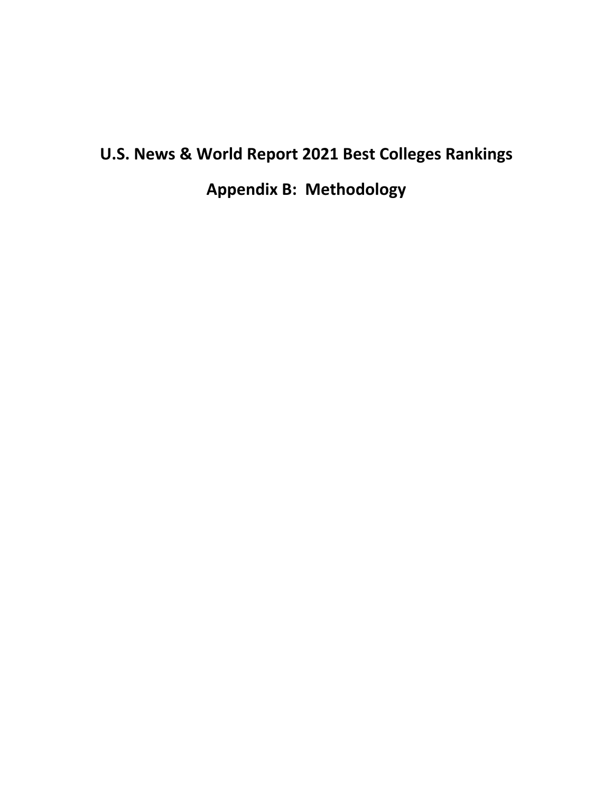### **U.S. News & World Report 2021 Best Colleges Rankings**

**Appendix B: Methodology**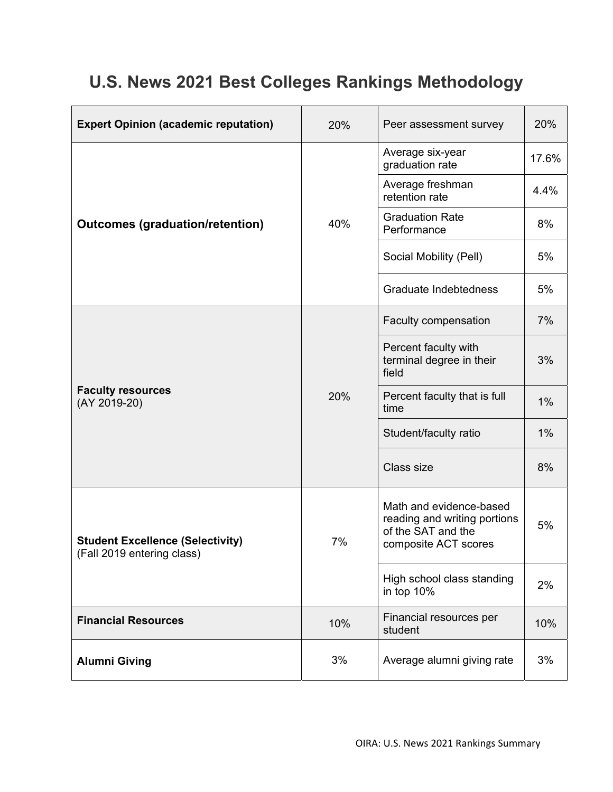### **U.S. News 2021 Best Colleges Rankings Methodology**

| <b>Expert Opinion (academic reputation)</b>                           | 20% | Peer assessment survey                                                                                | 20%   |
|-----------------------------------------------------------------------|-----|-------------------------------------------------------------------------------------------------------|-------|
|                                                                       |     | Average six-year<br>graduation rate                                                                   | 17.6% |
|                                                                       |     | Average freshman<br>retention rate                                                                    | 4.4%  |
| <b>Outcomes (graduation/retention)</b>                                | 40% | <b>Graduation Rate</b><br>Performance                                                                 | 8%    |
|                                                                       |     | Social Mobility (Pell)                                                                                | 5%    |
|                                                                       |     | Graduate Indebtedness                                                                                 | 5%    |
|                                                                       |     | Faculty compensation                                                                                  | 7%    |
| <b>Faculty resources</b><br>(AY 2019-20)                              |     | Percent faculty with<br>terminal degree in their<br>field                                             | 3%    |
|                                                                       | 20% | Percent faculty that is full<br>time                                                                  | 1%    |
|                                                                       |     | Student/faculty ratio                                                                                 | 1%    |
|                                                                       |     | Class size                                                                                            | 8%    |
| <b>Student Excellence (Selectivity)</b><br>(Fall 2019 entering class) | 7%  | Math and evidence-based<br>reading and writing portions<br>of the SAT and the<br>composite ACT scores | 5%    |
|                                                                       |     | High school class standing<br>in top 10%                                                              | 2%    |
| <b>Financial Resources</b>                                            | 10% | Financial resources per<br>student                                                                    | 10%   |
| <b>Alumni Giving</b>                                                  | 3%  | Average alumni giving rate                                                                            | 3%    |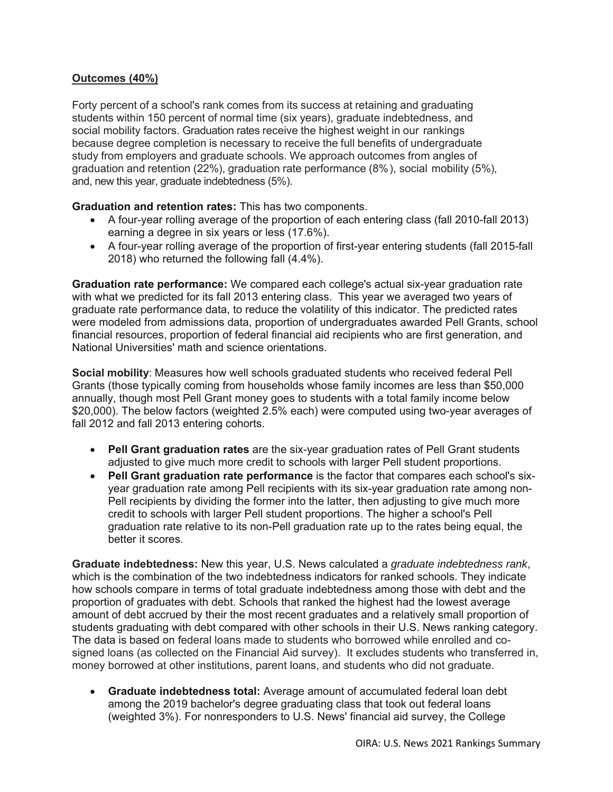### **Outcomes (40%)**

Forty percent of a school's rank comes from its success at retaining and graduating students within 150 percent of normal time (six years), graduate indebtedness, and social mobility factors. Graduation rates receive the highest weight in our rankings because degree completion is necessary to receive the full benefits of undergraduate study from employers and graduate schools. We approach outcomes from angles of graduation and retention (22%), graduation rate performance (8%), social mobility (5%), and, new this year, graduate indebtedness (5%).

**Graduation and retention rates:** This has two components.

- A four-year rolling average of the proportion of each entering class (fall 2010-fall 2013) earning a degree in six years or less (17.6%).
- A four-year rolling average of the proportion of first-year entering students (fall 2015-fall 2018) who returned the following fall (4.4%).

**Graduation rate performance:** We compared each college's actual six-year graduation rate with what we predicted for its fall 2013 entering class. This year we averaged two years of graduate rate performance data, to reduce the volatility of this indicator. The predicted rates were modeled from admissions data, proportion of undergraduates awarded Pell Grants, school financial resources, proportion of federal financial aid recipients who are first generation, and National Universities' math and science orientations.

**Social mobility**: Measures how well schools graduated students who received federal Pell Grants (those typically coming from households whose family incomes are less than \$50,000 annually, though most Pell Grant money goes to students with a total family income below \$20,000). The below factors (weighted 2.5% each) were computed using two-year averages of fall 2012 and fall 2013 entering cohorts.

- **Pell Grant graduation rates** are the six-year graduation rates of Pell Grant students adjusted to give much more credit to schools with larger Pell student proportions.
- **Pell Grant graduation rate performance** is the factor that compares each school's sixyear graduation rate among Pell recipients with its six-year graduation rate among non-Pell recipients by dividing the former into the latter, then adjusting to give much more credit to schools with larger Pell student proportions. The higher a school's Pell graduation rate relative to its non-Pell graduation rate up to the rates being equal, the better it scores.

**Graduate indebtedness:** New this year, U.S. News calculated a *graduate indebtedness rank*, which is the combination of the two indebtedness indicators for ranked schools. They indicate how schools compare in terms of total graduate indebtedness among those with debt and the proportion of graduates with debt. Schools that ranked the highest had the lowest average amount of debt accrued by their the most recent graduates and a relatively small proportion of students graduating with debt compared with other schools in their U.S. News ranking category. The data is based on federal loans made to students who borrowed while enrolled and cosigned loans (as collected on the Financial Aid survey). It excludes students who transferred in, money borrowed at other institutions, parent loans, and students who did not graduate.

 **Graduate indebtedness total:** Average amount of accumulated federal loan debt among the 2019 bachelor's degree graduating class that took out federal loans (weighted 3%). For nonresponders to U.S. News' financial aid survey, the College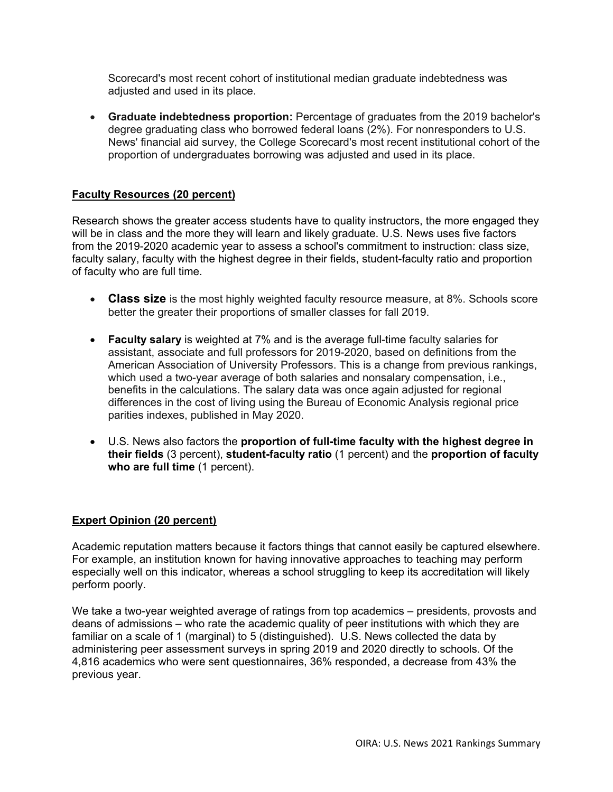Scorecard's most recent cohort of institutional median graduate indebtedness was adjusted and used in its place.

 **Graduate indebtedness proportion:** Percentage of graduates from the 2019 bachelor's degree graduating class who borrowed federal loans (2%). For nonresponders to U.S. News' financial aid survey, the College Scorecard's most recent institutional cohort of the proportion of undergraduates borrowing was adjusted and used in its place.

### **Faculty Resources (20 percent)**

Research shows the greater access students have to quality instructors, the more engaged they will be in class and the more they will learn and likely graduate. U.S. News uses five factors from the 2019-2020 academic year to assess a school's commitment to instruction: class size, faculty salary, faculty with the highest degree in their fields, student-faculty ratio and proportion of faculty who are full time.

- **Class size** is the most highly weighted faculty resource measure, at 8%. Schools score better the greater their proportions of smaller classes for fall 2019.
- **Faculty salary** is weighted at 7% and is the average full-time faculty salaries for assistant, associate and full professors for 2019-2020, based on definitions from the American Association of University Professors. This is a change from previous rankings, which used a two-year average of both salaries and nonsalary compensation, i.e., benefits in the calculations. The salary data was once again adjusted for regional differences in the cost of living using the Bureau of Economic Analysis regional price parities indexes, published in May 2020.
- U.S. News also factors the **proportion of full-time faculty with the highest degree in their fields** (3 percent), **student-faculty ratio** (1 percent) and the **proportion of faculty who are full time** (1 percent).

#### **Expert Opinion (20 percent)**

Academic reputation matters because it factors things that cannot easily be captured elsewhere. For example, an institution known for having innovative approaches to teaching may perform especially well on this indicator, whereas a school struggling to keep its accreditation will likely perform poorly.

We take a two-year weighted average of ratings from top academics – presidents, provosts and deans of admissions – who rate the academic quality of peer institutions with which they are familiar on a scale of 1 (marginal) to 5 (distinguished). U.S. News collected the data by administering peer assessment surveys in spring 2019 and 2020 directly to schools. Of the 4,816 academics who were sent questionnaires, 36% responded, a decrease from 43% the previous year.